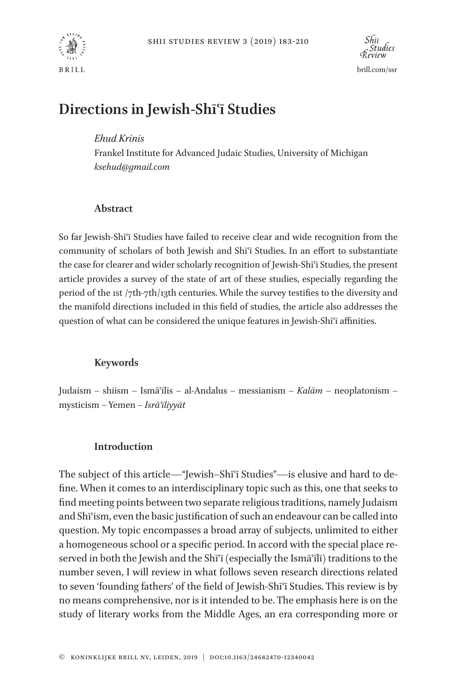





# **Directions in Jewish-Shīʿī Studies**

### *Ehud Krinis*

Frankel Institute for Advanced Judaic Studies, University of Michigan *ksehud@gmail.com*

# **Abstract**

So far Jewish-Shīʿī Studies have failed to receive clear and wide recognition from the community of scholars of both Jewish and Shīʿī Studies. In an effort to substantiate the case for clearer and wider scholarly recognition of Jewish-Shīʿī Studies, the present article provides a survey of the state of art of these studies, especially regarding the period of the 1st /7th-7th/13th centuries. While the survey testifies to the diversity and the manifold directions included in this field of studies, the article also addresses the question of what can be considered the unique features in Jewish-Shīʿī affinities.

# **Keywords**

Judaism – shiism – Ismāʿīlīs – al-Andalus – messianism – *Kalām* – neoplatonism – mysticism – Yemen – *Isrāʾīliyyāt*

# **Introduction**

The subject of this article—"Jewish–Shīʿī Studies"—is elusive and hard to define. When it comes to an interdisciplinary topic such as this, one that seeks to find meeting points between two separate religious traditions, namely Judaism and Shīʿism, even the basic justification of such an endeavour can be called into question. My topic encompasses a broad array of subjects, unlimited to either a homogeneous school or a specific period. In accord with the special place reserved in both the Jewish and the Shīʿī (especially the Ismāʿīlī) traditions to the number seven, I will review in what follows seven research directions related to seven 'founding fathers' of the field of Jewish-Shīʿī Studies. This review is by no means comprehensive, nor is it intended to be. The emphasis here is on the study of literary works from the Middle Ages, an era corresponding more or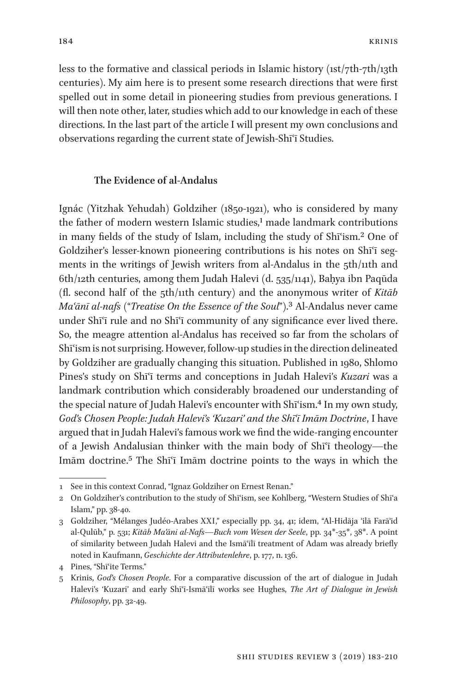less to the formative and classical periods in Islamic history (1st/7th-7th/13th centuries). My aim here is to present some research directions that were first spelled out in some detail in pioneering studies from previous generations. I will then note other, later, studies which add to our knowledge in each of these directions. In the last part of the article I will present my own conclusions and observations regarding the current state of Jewish-Shīʿī Studies.

### **The Evidence of al-Andalus**

Ignác (Yitzhak Yehudah) Goldziher (1850-1921), who is considered by many the father of modern western Islamic studies,<sup>1</sup> made landmark contributions in many fields of the study of Islam, including the study of Shīʿism.2 One of Goldziher's lesser-known pioneering contributions is his notes on Shīʿī segments in the writings of Jewish writers from al-Andalus in the 5th/11th and 6th/12th centuries, among them Judah Halevi (d. 535/1141), Baḥya ibn Paqūda (fl. second half of the 5th/11th century) and the anonymous writer of *Kitāb Maʿānī al-nafs* ("*Treatise On the Essence of the Soul*").3 Al-Andalus never came under Shīʿī rule and no Shīʿī community of any significance ever lived there. So, the meagre attention al-Andalus has received so far from the scholars of Shīʿism is not surprising. However, follow-up studies in the direction delineated by Goldziher are gradually changing this situation. Published in 1980, Shlomo Pines's study on Shīʿī terms and conceptions in Judah Halevi's *Kuzari* was a landmark contribution which considerably broadened our understanding of the special nature of Judah Halevi's encounter with Shīʿism.4 In my own study, *God's Chosen People: Judah Halevi's 'Kuzari' and the Shīʿī Imām Doctrine*, I have argued that in Judah Halevi's famous work we find the wide-ranging encounter of a Jewish Andalusian thinker with the main body of Shīʿī theology—the Imām doctrine.5 The Shīʿī Imām doctrine points to the ways in which the

<sup>1</sup> See in this context Conrad, "Ignaz Goldziher on Ernest Renan."

<sup>2</sup> On Goldziher's contribution to the study of Shīʿism, see Kohlberg, "Western Studies of Shīʿa Islam," pp. 38-40.

<sup>3</sup> Goldziher, "Mélanges Judéo-Arabes XXI," especially pp. 34, 41; idem, "Al-Hidāja ʾilā Farāʾid al-Qulūb," p. 531; *Kitāb Ma'āni al-Nafs—Buch vom Wesen der Seele*, pp. 34\*-35\*, 38\*. A point of similarity between Judah Halevi and the Ismāʿīlī treatment of Adam was already briefly noted in Kaufmann, *Geschichte der Attributenlehre*, p. 177, n. 136.

<sup>4</sup> Pines, "Shīʿite Terms."

<sup>5</sup> Krinis, *God's Chosen People*. For a comparative discussion of the art of dialogue in Judah Halevi's 'Kuzari' and early Shīʿī-Ismāʿīlī works see Hughes, *The Art of Dialogue in Jewish Philosophy*, pp. 32-49.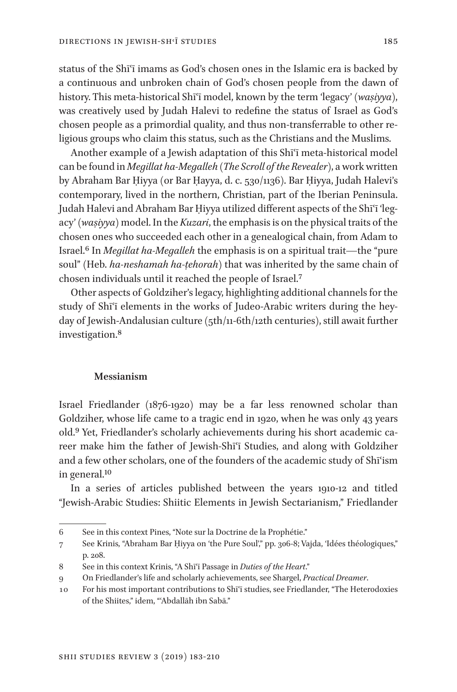status of the Shīʿī imams as God's chosen ones in the Islamic era is backed by a continuous and unbroken chain of God's chosen people from the dawn of history. This meta-historical Shīʿī model, known by the term 'legacy' (*waṣiyya*), was creatively used by Judah Halevi to redefine the status of Israel as God's chosen people as a primordial quality, and thus non-transferrable to other religious groups who claim this status, such as the Christians and the Muslims.

Another example of a Jewish adaptation of this Shīʿī meta-historical model can be found in *Megillat ha-Megalleh* (*The Scroll of the Revealer*), a work written by Abraham Bar Ḥiyya (or Bar Ḥayya, d. c. 530/1136). Bar Ḥiyya, Judah Halevi's contemporary, lived in the northern, Christian, part of the Iberian Peninsula. Judah Halevi and Abraham Bar Ḥiyya utilized different aspects of the Shīʿī 'legacy' (*waṣiyya*) model. In the *Kuzari*, the emphasis is on the physical traits of the chosen ones who succeeded each other in a genealogical chain, from Adam to Israel.6 In *Megillat ha-Megalleh* the emphasis is on a spiritual trait—the "pure soul" (Heb. *ha-neshamah ha-ṭehorah*) that was inherited by the same chain of chosen individuals until it reached the people of Israel.7

Other aspects of Goldziher's legacy, highlighting additional channels for the study of Shīʿī elements in the works of Judeo-Arabic writers during the heyday of Jewish-Andalusian culture (5th/11-6th/12th centuries), still await further investigation.8

### **Messianism**

Israel Friedlander (1876-1920) may be a far less renowned scholar than Goldziher, whose life came to a tragic end in 1920, when he was only 43 years old.9 Yet, Friedlander's scholarly achievements during his short academic career make him the father of Jewish-Shīʿī Studies, and along with Goldziher and a few other scholars, one of the founders of the academic study of Shīʿism in general.10

In a series of articles published between the years 1910-12 and titled "Jewish-Arabic Studies: Shiitic Elements in Jewish Sectarianism," Friedlander

<sup>6</sup> See in this context Pines, "Note sur la Doctrine de la Prophétie."

<sup>7</sup> See Krinis, "Abraham Bar Ḥiyya on 'the Pure Soul'," pp. 306-8; Vajda, 'Idées théologiques," p. 208.

<sup>8</sup> See in this context Krinis, "A Shīʿī Passage in *Duties of the Heart*."

<sup>9</sup> On Friedlander's life and scholarly achievements, see Shargel, *Practical Dreamer*.

<sup>10</sup> For his most important contributions to Shīʿī studies, see Friedlander, "The Heterodoxies of the Shiites," idem, "ʿAbdallāh ibn Sabā."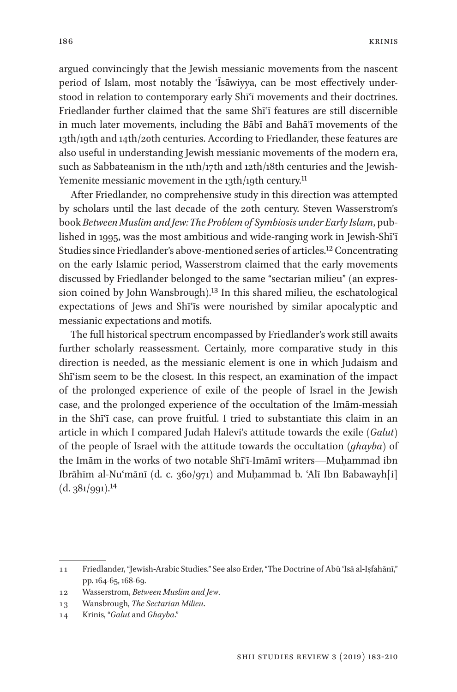argued convincingly that the Jewish messianic movements from the nascent period of Islam, most notably the ʿĪsāwiyya, can be most effectively understood in relation to contemporary early Shīʿī movements and their doctrines. Friedlander further claimed that the same Shī'ī features are still discernible in much later movements, including the Bābī and Bahāʾī movements of the 13th/19th and 14th/20th centuries. According to Friedlander, these features are also useful in understanding Jewish messianic movements of the modern era, such as Sabbateanism in the 11th/17th and 12th/18th centuries and the Jewish-Yemenite messianic movement in the 13th/19th century.<sup>11</sup>

After Friedlander, no comprehensive study in this direction was attempted by scholars until the last decade of the 20th century. Steven Wasserstrom's book *Between Muslim and Jew: The Problem of Symbiosis under Early Islam*, published in 1995, was the most ambitious and wide-ranging work in Jewish-Shīʿī Studies since Friedlander's above-mentioned series of articles.12 Concentrating on the early Islamic period, Wasserstrom claimed that the early movements discussed by Friedlander belonged to the same "sectarian milieu" (an expression coined by John Wansbrough).13 In this shared milieu, the eschatological expectations of Jews and Shīʿīs were nourished by similar apocalyptic and messianic expectations and motifs.

The full historical spectrum encompassed by Friedlander's work still awaits further scholarly reassessment. Certainly, more comparative study in this direction is needed, as the messianic element is one in which Judaism and Shīʿism seem to be the closest. In this respect, an examination of the impact of the prolonged experience of exile of the people of Israel in the Jewish case, and the prolonged experience of the occultation of the Imām-messiah in the Shīʿī case, can prove fruitful. I tried to substantiate this claim in an article in which I compared Judah Halevi's attitude towards the exile (*Galut*) of the people of Israel with the attitude towards the occultation (*ghayba*) of the Imām in the works of two notable Shī<sup>'</sup>ī-Imāmī writers—Muhammad ibn Ibrāhīm al-Nuʿmānī (d. c. 360/971) and Muḥammad b. ʿAlī Ibn Babawayh[i]  $(d. 381/991).<sup>14</sup>$ 

<sup>11</sup> Friedlander, "Jewish-Arabic Studies." See also Erder, "The Doctrine of Abū ʿIsā al-Iṣfahānī," pp. 164-65, 168-69.

<sup>12</sup> Wasserstrom, *Between Muslim and Jew*.

<sup>13</sup> Wansbrough, *The Sectarian Milieu*.

<sup>14</sup> Krinis, "*Galut* and *Ghayba*."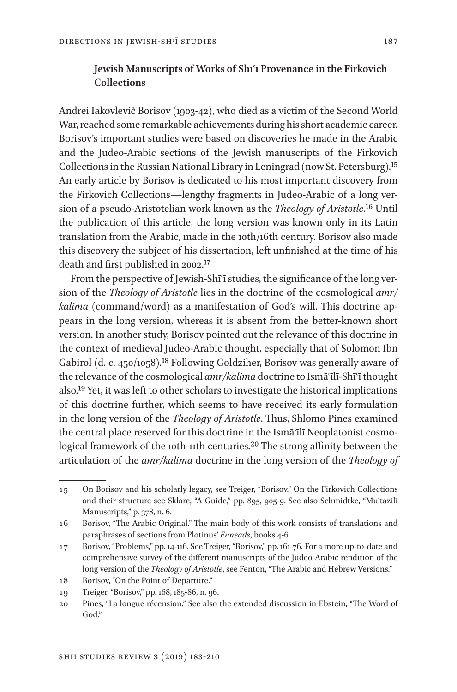# **Jewish Manuscripts of Works of Shīʿī Provenance in the Firkovich Collections**

Andrei Iakovlevič Borisov (1903-42), who died as a victim of the Second World War, reached some remarkable achievements during his short academic career. Borisov's important studies were based on discoveries he made in the Arabic and the Judeo-Arabic sections of the Jewish manuscripts of the Firkovich Collections in the Russian National Library in Leningrad (now St. Petersburg).15 An early article by Borisov is dedicated to his most important discovery from the Firkovich Collections—lengthy fragments in Judeo-Arabic of a long version of a pseudo-Aristotelian work known as the *Theology of Aristotle*.16 Until the publication of this article, the long version was known only in its Latin translation from the Arabic, made in the 10th/16th century. Borisov also made this discovery the subject of his dissertation, left unfinished at the time of his death and first published in 2002.17

From the perspective of Jewish-Shī'ī studies, the significance of the long version of the *Theology of Aristotle* lies in the doctrine of the cosmological *amr/ kalima* (command/word) as a manifestation of God's will. This doctrine appears in the long version, whereas it is absent from the better-known short version. In another study, Borisov pointed out the relevance of this doctrine in the context of medieval Judeo-Arabic thought, especially that of Solomon Ibn Gabirol (d. c. 450/1058).18 Following Goldziher, Borisov was generally aware of the relevance of the cosmological *amr/kalima* doctrine to Ismāʿīlī-Shīʿī thought also.19 Yet, it was left to other scholars to investigate the historical implications of this doctrine further, which seems to have received its early formulation in the long version of the *Theology of Aristotle*. Thus, Shlomo Pines examined the central place reserved for this doctrine in the Ismāʿīlī Neoplatonist cosmological framework of the 10th-11th centuries.<sup>20</sup> The strong affinity between the articulation of the *amr/kalima* doctrine in the long version of the *Theology of* 

<sup>15</sup> On Borisov and his scholarly legacy, see Treiger, "Borisov." On the Firkovich Collections and their structure see Sklare, "A Guide," pp. 895, 905-9. See also Schmidtke, "Muʿtazilī Manuscripts," p. 378, n. 6.

<sup>16</sup> Borisov, "The Arabic Original." The main body of this work consists of translations and paraphrases of sections from Plotinus' *Enneads*, books 4-6.

<sup>17</sup> Borisov, "Problems," pp. 14-116. See Treiger, "Borisov," pp. 161-76. For a more up-to-date and comprehensive survey of the different manuscripts of the Judeo-Arabic rendition of the long version of the *Theology of Aristotle*, see Fenton, "The Arabic and Hebrew Versions."

<sup>18</sup> Borisov, "On the Point of Departure."

<sup>19</sup> Treiger, "Borisov," pp. 168, 185-86, n. 96.

<sup>20</sup> Pines, "La longue récension." See also the extended discussion in Ebstein, "The Word of God."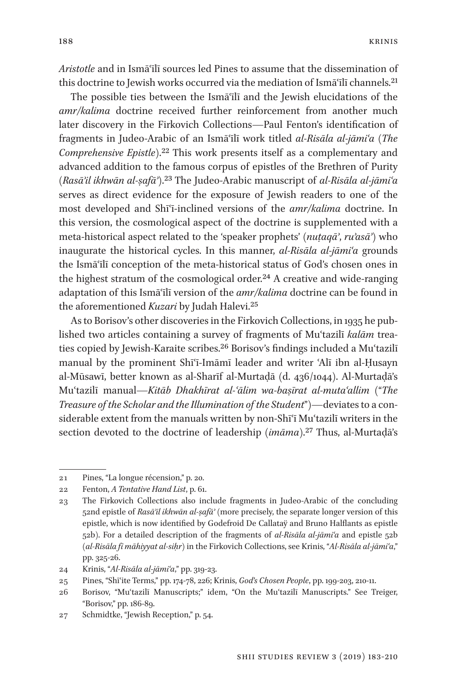*Aristotle* and in Ismāʿīlī sources led Pines to assume that the dissemination of this doctrine to Jewish works occurred via the mediation of Ismāʿīlī channels.<sup>21</sup>

The possible ties between the Ismāʿīlī and the Jewish elucidations of the *amr/kalima* doctrine received further reinforcement from another much later discovery in the Firkovich Collections—Paul Fenton's identification of fragments in Judeo-Arabic of an Ismāʿīlī work titled *al-Risāla al-jāmiʿa* (*The Comprehensive Epistle*).<sup>22</sup> This work presents itself as a complementary and advanced addition to the famous corpus of epistles of the Brethren of Purity (*Rasāʾil ikhwān al-ṣafāʾ*).23 The Judeo-Arabic manuscript of *al-Risāla al-jāmiʿa* serves as direct evidence for the exposure of Jewish readers to one of the most developed and Shīʿī-inclined versions of the *amr/kalima* doctrine. In this version, the cosmological aspect of the doctrine is supplemented with a meta-historical aspect related to the 'speaker prophets' (*nuṭaqāʾ*, *ruʾasāʾ*) who inaugurate the historical cycles. In this manner, *al-Risāla al-jāmiʿa* grounds the Ismāʿīlī conception of the meta-historical status of God's chosen ones in the highest stratum of the cosmological order.<sup>24</sup> A creative and wide-ranging adaptation of this Ismāʿīlī version of the *amr/kalima* doctrine can be found in the aforementioned *Kuzari* by Judah Halevi.25

As to Borisov's other discoveries in the Firkovich Collections, in 1935 he published two articles containing a survey of fragments of Muʿtazilī *kalām* treaties copied by Jewish-Karaite scribes.<sup>26</sup> Borisov's findings included a Mu'tazilī manual by the prominent Shīʿī-Imāmī leader and writer ʿAlī ibn al-Ḥusayn al-Mūsawī, better known as al-Sharīf al-Murtaḍā (d. 436/1044). Al-Murtaḍā's Muʿtazilī manual—*Kitāb Dhakhīrat al-ʿālim wa-baṣīrat al-mutaʿallim* ("*The Treasure of the Scholar and the Illumination of the Student*")—deviates to a considerable extent from the manuals written by non-Shī'ī Mu'tazilī writers in the section devoted to the doctrine of leadership (*imāma*).27 Thus, al-Murtaḍā's

<sup>21</sup> Pines, "La longue récension," p. 20.

<sup>22</sup> Fenton, *A Tentative Hand List*, p. 61.

<sup>23</sup> The Firkovich Collections also include fragments in Judeo-Arabic of the concluding 52nd epistle of *Rasāʾil ikhwān al-ṣafāʾ* (more precisely, the separate longer version of this epistle, which is now identified by Godefroid De Callataÿ and Bruno Halflants as epistle 52b). For a detailed description of the fragments of *al-Risāla al-jāmiʿa* and epistle 52b (*al-Risāla fī māhiyyat al-siḥr*) in the Firkovich Collections, see Krinis, "*Al-Risāla al-jāmiʿa*," pp. 325-26.

<sup>24</sup> Krinis, "*Al-Risāla al-jāmiʿa*," pp. 319-23.

<sup>25</sup> Pines, "Shīʿite Terms," pp. 174-78, 226; Krinis, *God's Chosen People*, pp. 199-203, 210-11.

<sup>26</sup> Borisov, "Muʿtazilī Manuscripts;" idem, "On the Muʿtazilī Manuscripts." See Treiger, "Borisov," pp. 186-89.

<sup>27</sup> Schmidtke, "Jewish Reception," p. 54.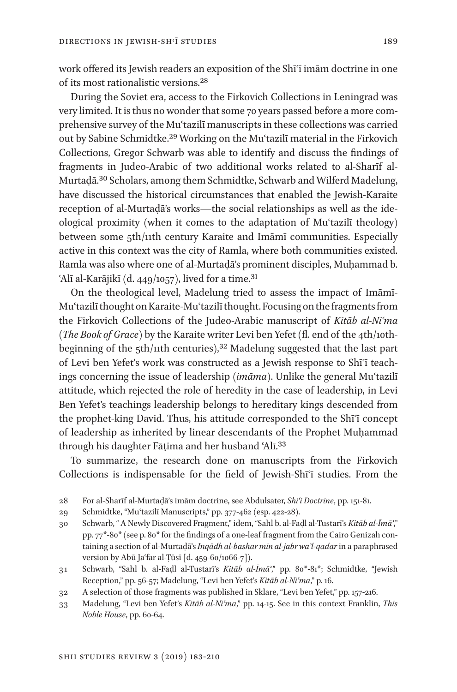work offered its Jewish readers an exposition of the Shīʿī imām doctrine in one of its most rationalistic versions.28

During the Soviet era, access to the Firkovich Collections in Leningrad was very limited. It is thus no wonder that some 70 years passed before a more comprehensive survey of the Mu'tazilī manuscripts in these collections was carried out by Sabine Schmidtke.<sup>29</sup> Working on the Mu'tazilī material in the Firkovich Collections, Gregor Schwarb was able to identify and discuss the findings of fragments in Judeo-Arabic of two additional works related to al-Sharīf al-Murtaḍā.30 Scholars, among them Schmidtke, Schwarb and Wilferd Madelung, have discussed the historical circumstances that enabled the Jewish-Karaite reception of al-Murtaḍā's works—the social relationships as well as the ideological proximity (when it comes to the adaptation of Muʿtazilī theology) between some 5th/11th century Karaite and Imāmī communities. Especially active in this context was the city of Ramla, where both communities existed. Ramla was also where one of al-Murtaḍā's prominent disciples, Muḥammad b. 'Alī al-Karājikī (d. 449/1057), lived for a time.<sup>31</sup>

On the theological level, Madelung tried to assess the impact of Imāmī-Muʿtazilī thought on Karaite-Muʿtazilī thought. Focusing on the fragments from the Firkovich Collections of the Judeo-Arabic manuscript of *Kitāb al-Niʿma* (*The Book of Grace*) by the Karaite writer Levi ben Yefet (fl. end of the 4th/10thbeginning of the 5th/11th centuries),<sup>32</sup> Madelung suggested that the last part of Levi ben Yefet's work was constructed as a Jewish response to Shīʿī teachings concerning the issue of leadership (*imāma*). Unlike the general Mu'tazilī attitude, which rejected the role of heredity in the case of leadership, in Levi Ben Yefet's teachings leadership belongs to hereditary kings descended from the prophet-king David. Thus, his attitude corresponded to the Shīʿī concept of leadership as inherited by linear descendants of the Prophet Muḥammad through his daughter Fāṭima and her husband ʿAlī.33

To summarize, the research done on manuscripts from the Firkovich Collections is indispensable for the field of Jewish-Shīʿī studies. From the

<sup>28</sup> For al-Sharīf al-Murtaḍā's imām doctrine, see Abdulsater, *Shiʿi Doctrine*, pp. 151-81.

<sup>29</sup> Schmidtke, "Muʿtazilī Manuscripts," pp. 377-462 (esp. 422-28).

<sup>30</sup> Schwarb, " A Newly Discovered Fragment," idem, "Sahl b. al-Faḍl al-Tustarī's *Kitāb al-Īmāʾ*," pp. 77\*-80\* (see p. 80\* for the findings of a one-leaf fragment from the Cairo Genizah containing a section of al-Murtaḍā's *Inqādh al-bashar min al-jabr waʾl-qadar* in a paraphrased version by Abū Jaʿfar al-Ṭūsī [d. 459-60/1066-7]).

<sup>31</sup> Schwarb, "Sahl b. al-Faḍl al-Tustarī's *Kitāb al-Īmāʾ*," pp. 80\*-81\*; Schmidtke, "Jewish Reception," pp. 56-57; Madelung, "Levi ben Yefet's *Kitāb al-Niʿma*," p. 16.

<sup>32</sup> A selection of those fragments was published in Sklare, "Levi ben Yefet," pp. 157-216.

<sup>33</sup> Madelung, "Levi ben Yefet's *Kitāb al-Niʿma*," pp. 14-15. See in this context Franklin, *This Noble House*, pp. 60-64.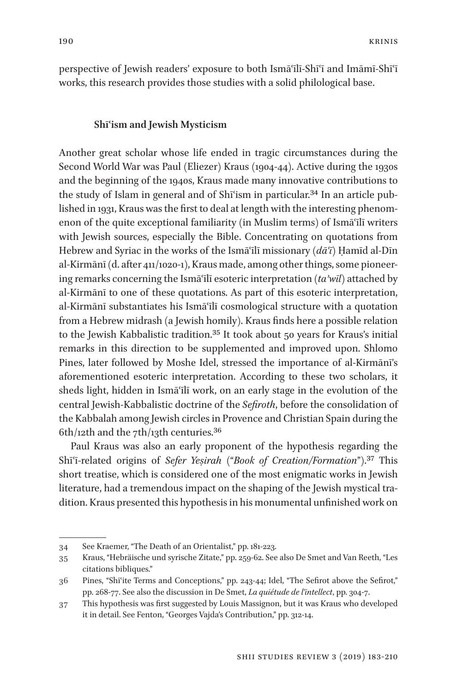perspective of Jewish readers' exposure to both Ismāʿīlī-Shīʿī and Imāmī-Shīʿī works, this research provides those studies with a solid philological base.

#### **Shīʿism and Jewish Mysticism**

Another great scholar whose life ended in tragic circumstances during the Second World War was Paul (Eliezer) Kraus (1904-44). Active during the 1930s and the beginning of the 1940s, Kraus made many innovative contributions to the study of Islam in general and of Shī'ism in particular.<sup>34</sup> In an article published in 1931, Kraus was the first to deal at length with the interesting phenomenon of the quite exceptional familiarity (in Muslim terms) of Ismāʿīlī writers with Jewish sources, especially the Bible. Concentrating on quotations from Hebrew and Syriac in the works of the Ismāʿīlī missionary (*dāʿī*) Ḥamīd al-Dīn al-Kirmānī (d. after 411/1020-1), Kraus made, among other things, some pioneering remarks concerning the Ismāʿīlī esoteric interpretation (*taʾwīl*) attached by al-Kirmānī to one of these quotations. As part of this esoteric interpretation, al-Kirmānī substantiates his Ismāʿīlī cosmological structure with a quotation from a Hebrew midrash (a Jewish homily). Kraus finds here a possible relation to the Jewish Kabbalistic tradition.<sup>35</sup> It took about 50 years for Kraus's initial remarks in this direction to be supplemented and improved upon. Shlomo Pines, later followed by Moshe Idel, stressed the importance of al-Kirmānī's aforementioned esoteric interpretation. According to these two scholars, it sheds light, hidden in Ismāʿīlī work, on an early stage in the evolution of the central Jewish-Kabbalistic doctrine of the *Sefiroth*, before the consolidation of the Kabbalah among Jewish circles in Provence and Christian Spain during the 6th/12th and the 7th/13th centuries.36

Paul Kraus was also an early proponent of the hypothesis regarding the Shīʿī-related origins of *Sefer Yeṣirah* ("*Book of Creation/Formation*").37 This short treatise, which is considered one of the most enigmatic works in Jewish literature, had a tremendous impact on the shaping of the Jewish mystical tradition. Kraus presented this hypothesis in his monumental unfinished work on

<sup>34</sup> See Kraemer, "The Death of an Orientalist," pp. 181-223.

<sup>35</sup> Kraus, "Hebräische und syrische Zitate," pp. 259-62. See also De Smet and Van Reeth, "Les citations bibliques."

<sup>36</sup> Pines, "Shīʿite Terms and Conceptions," pp. 243-44; Idel, "The Sefirot above the Sefirot," pp. 268-77. See also the discussion in De Smet, *La quiétude de l'intellect*, pp. 304-7.

<sup>37</sup> This hypothesis was first suggested by Louis Massignon, but it was Kraus who developed it in detail. See Fenton, "Georges Vajda's Contribution," pp. 312-14.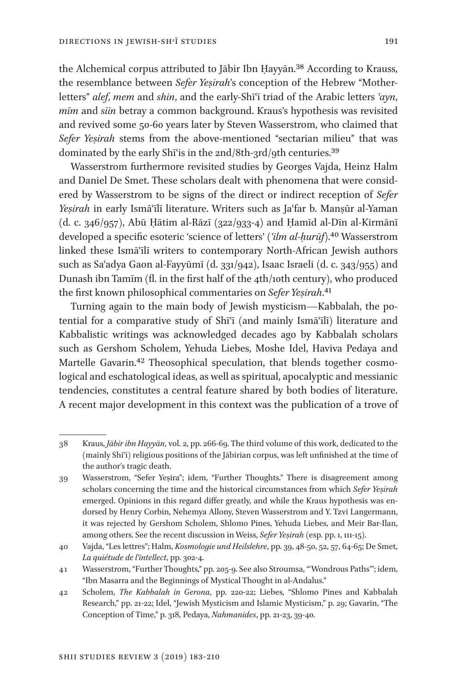the Alchemical corpus attributed to Jābir Ibn Ḥayyān.38 According to Krauss, the resemblance between *Sefer Yeṣirah*'s conception of the Hebrew "Motherletters" *alef*, *mem* and *shin*, and the early-Shīʿī triad of the Arabic letters *ʿayn*, *mīm* and *sīin* betray a common background. Kraus's hypothesis was revisited and revived some 50-60 years later by Steven Wasserstrom, who claimed that *Sefer Yeṣirah* stems from the above-mentioned "sectarian milieu" that was dominated by the early Shī'is in the 2nd/8th-3rd/9th centuries.<sup>39</sup>

Wasserstrom furthermore revisited studies by Georges Vajda, Heinz Halm and Daniel De Smet. These scholars dealt with phenomena that were considered by Wasserstrom to be signs of the direct or indirect reception of *Sefer Yeṣirah* in early Ismāʿīlī literature. Writers such as Jaʿfar b. Manṣūr al-Yaman (d. c. 346/957), Abū Ḥātim al-Rāzī (322/933-4) and Ḥamīd al-Dīn al-Kirmānī developed a specific esoteric 'science of letters' (*ʿilm al-ḥurūf*).40 Wasserstrom linked these Ismāʿīlī writers to contemporary North-African Jewish authors such as Saʿadya Gaon al-Fayyūmī (d. 331/942), Isaac Israeli (d. c. 343/955) and Dunash ibn Tamīm (fl. in the first half of the 4th/10th century), who produced the first known philosophical commentaries on *Sefer Yeṣirah*.41

Turning again to the main body of Jewish mysticism—Kabbalah, the potential for a comparative study of Shīʿī (and mainly Ismāʿīlī) literature and Kabbalistic writings was acknowledged decades ago by Kabbalah scholars such as Gershom Scholem, Yehuda Liebes, Moshe Idel, Haviva Pedaya and Martelle Gavarin.<sup>42</sup> Theosophical speculation, that blends together cosmological and eschatological ideas, as well as spiritual, apocalyptic and messianic tendencies, constitutes a central feature shared by both bodies of literature. A recent major development in this context was the publication of a trove of

<sup>38</sup> Kraus, *Jābir ibn Hayyān*, vol. 2, pp. 266-69. The third volume of this work, dedicated to the (mainly Shīʿī) religious positions of the Jābirian corpus, was left unfinished at the time of the author's tragic death.

<sup>39</sup> Wasserstrom, "Sefer Yeṣira"; idem, "Further Thoughts." There is disagreement among scholars concerning the time and the historical circumstances from which *Sefer Yeṣirah* emerged. Opinions in this regard differ greatly, and while the Kraus hypothesis was endorsed by Henry Corbin, Nehemya Allony, Steven Wasserstrom and Y. Tzvi Langermann, it was rejected by Gershom Scholem, Shlomo Pines, Yehuda Liebes, and Meir Bar-Ilan, among others. See the recent discussion in Weiss, *Sefer Yeṣirah* (esp. pp. 1, 111-15).

<sup>40</sup> Vajda, "Les lettres"; Halm, *Kosmologie und Heilslehre*, pp. 39, 48-50, 52, 57, 64-65; De Smet, *La quiétude de l'intellect*, pp. 302-4.

<sup>41</sup> Wasserstrom, "Further Thoughts," pp. 205-9. See also Stroumsa, "'Wondrous Paths'"; idem, "Ibn Masarra and the Beginnings of Mystical Thought in al-Andalus."

<sup>42</sup> Scholem, *The Kabbalah in Gerona*, pp. 220-22; Liebes, "Shlomo Pines and Kabbalah Research," pp. 21-22; Idel, "Jewish Mysticism and Islamic Mysticism," p. 29; Gavarin, "The Conception of Time," p. 318, Pedaya, *Nahmanides*, pp. 21-23, 39-40.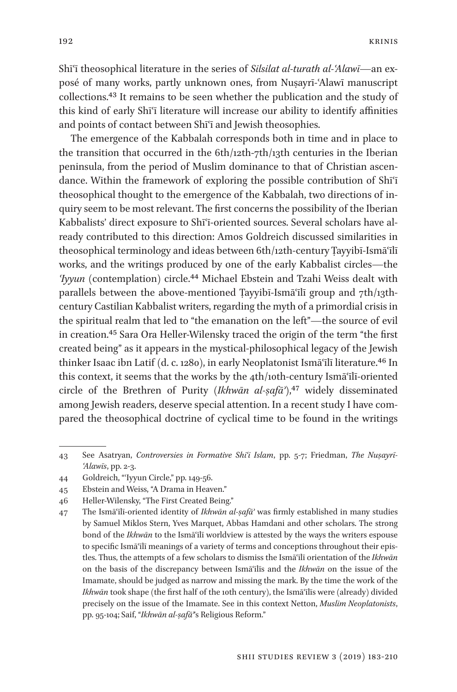Shīʿī theosophical literature in the series of *Silsilat al-turath al-ʿAlawī*—an exposé of many works, partly unknown ones, from Nuṣayrī-ʿAlawī manuscript collections.43 It remains to be seen whether the publication and the study of this kind of early Shīʿī literature will increase our ability to identify affinities and points of contact between Shīʿī and Jewish theosophies.

The emergence of the Kabbalah corresponds both in time and in place to the transition that occurred in the 6th/12th-7th/13th centuries in the Iberian peninsula, from the period of Muslim dominance to that of Christian ascendance. Within the framework of exploring the possible contribution of Shīʿī theosophical thought to the emergence of the Kabbalah, two directions of inquiry seem to be most relevant. The first concerns the possibility of the Iberian Kabbalists' direct exposure to Shīʿī-oriented sources. Several scholars have already contributed to this direction: Amos Goldreich discussed similarities in theosophical terminology and ideas between 6th/12th-century Ṭayyibī-Ismāʿīlī works, and the writings produced by one of the early Kabbalist circles—the *ʿIyyun* (contemplation) circle.44 Michael Ebstein and Tzahi Weiss dealt with parallels between the above-mentioned Ṭayyibī-Ismāʿīlī group and 7th/13thcentury Castilian Kabbalist writers, regarding the myth of a primordial crisis in the spiritual realm that led to "the emanation on the left"—the source of evil in creation.45 Sara Ora Heller-Wilensky traced the origin of the term "the first created being" as it appears in the mystical-philosophical legacy of the Jewish thinker Isaac ibn Latif (d. c. 1280), in early Neoplatonist Ismāʿīlī literature.46 In this context, it seems that the works by the 4th/10th-century Ismāʿīlī-oriented circle of the Brethren of Purity (*Ikhwān al-ṣafā*<sup>'</sup>),<sup>47</sup> widely disseminated among Jewish readers, deserve special attention. In a recent study I have compared the theosophical doctrine of cyclical time to be found in the writings

<sup>43</sup> See Asatryan, *Controversies in Formative Shiʿi Islam*, pp. 5-7; Friedman, *The Nuṣayrī-ʿAlawīs*, pp. 2-3.

<sup>44</sup> Goldreich, "Iyyun Circle," pp. 149-56.

<sup>45</sup> Ebstein and Weiss, "A Drama in Heaven."

<sup>46</sup> Heller-Wilensky, "The First Created Being."

<sup>47</sup> The Ismāʿīlī-oriented identity of *Ikhwān al-ṣafāʾ* was firmly established in many studies by Samuel Miklos Stern, Yves Marquet, Abbas Hamdani and other scholars. The strong bond of the *Ikhwān* to the Ismāʿīlī worldview is attested by the ways the writers espouse to specific Ismāʿīlī meanings of a variety of terms and conceptions throughout their epistles. Thus, the attempts of a few scholars to dismiss the Ismāʿīlī orientation of the *Ikhwān* on the basis of the discrepancy between Ismāʿīlīs and the *Ikhwān* on the issue of the Imamate, should be judged as narrow and missing the mark. By the time the work of the *Ikhwān* took shape (the first half of the 10th century), the Ismāʿīlīs were (already) divided precisely on the issue of the Imamate. See in this context Netton, *Muslim Neoplatonists*, pp. 95-104; Saif, "*Ikhwān al-ṣafāʾ*'s Religious Reform."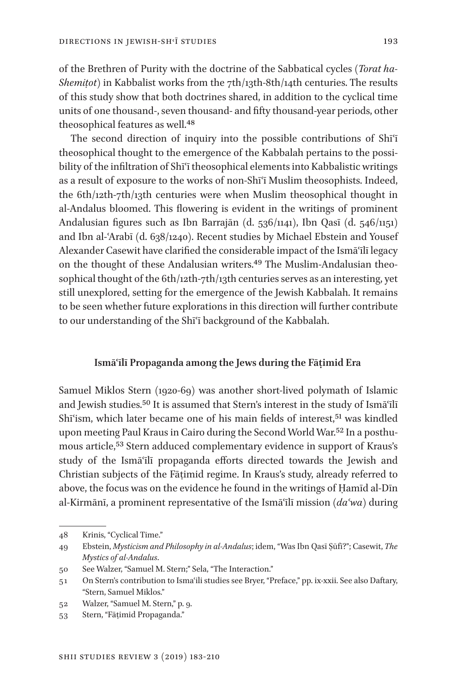of the Brethren of Purity with the doctrine of the Sabbatical cycles (*Torat ha-Shemiṭot*) in Kabbalist works from the 7th/13th-8th/14th centuries. The results of this study show that both doctrines shared, in addition to the cyclical time units of one thousand-, seven thousand- and fifty thousand-year periods, other theosophical features as well.48

The second direction of inquiry into the possible contributions of Shīʿī theosophical thought to the emergence of the Kabbalah pertains to the possibility of the infiltration of Shī'ī theosophical elements into Kabbalistic writings as a result of exposure to the works of non-Shīʿī Muslim theosophists. Indeed, the 6th/12th-7th/13th centuries were when Muslim theosophical thought in al-Andalus bloomed. This flowering is evident in the writings of prominent Andalusian figures such as Ibn Barrajān (d. 536/1141), Ibn Qasī (d. 546/1151) and Ibn al-ʿArabī (d. 638/1240). Recent studies by Michael Ebstein and Yousef Alexander Casewit have clarified the considerable impact of the Ismāʿīlī legacy on the thought of these Andalusian writers.49 The Muslim-Andalusian theosophical thought of the 6th/12th-7th/13th centuries serves as an interesting, yet still unexplored, setting for the emergence of the Jewish Kabbalah. It remains to be seen whether future explorations in this direction will further contribute to our understanding of the Shīʿī background of the Kabbalah.

### **Ismāʿīlī Propaganda among the Jews during the Fāṭimid Era**

Samuel Miklos Stern (1920-69) was another short-lived polymath of Islamic and Jewish studies.50 It is assumed that Stern's interest in the study of Ismāʿīlī Shī'ism, which later became one of his main fields of interest,<sup>51</sup> was kindled upon meeting Paul Kraus in Cairo during the Second World War.52 In a posthumous article,53 Stern adduced complementary evidence in support of Kraus's study of the Ismāʿīlī propaganda efforts directed towards the Jewish and Christian subjects of the Fāṭimid regime. In Kraus's study, already referred to above, the focus was on the evidence he found in the writings of Ḥamīd al-Dīn al-Kirmānī, a prominent representative of the Ismāʿīlī mission (*daʿwa*) during

<sup>48</sup> Krinis, "Cyclical Time."

<sup>49</sup> Ebstein, *Mysticism and Philosophy in al-Andalus*; idem, "Was Ibn Qasī Ṣūfī?"; Casewit, *The Mystics of al-Andalus*.

<sup>50</sup> See Walzer, "Samuel M. Stern;" Sela, "The Interaction."

<sup>51</sup> On Stern's contribution to Ismaʿili studies see Bryer, "Preface," pp. ix-xxii. See also Daftary, "Stern, Samuel Miklos."

<sup>52</sup> Walzer, "Samuel M. Stern," p. 9.

<sup>53</sup> Stern, "Fāṭimid Propaganda."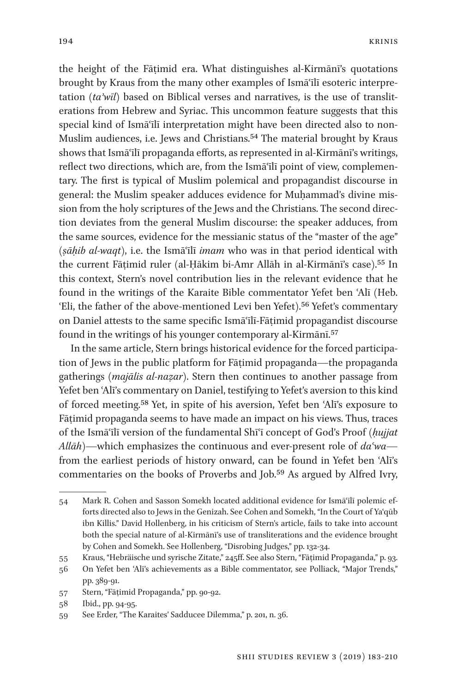the height of the Fāṭimid era. What distinguishes al-Kirmānī's quotations brought by Kraus from the many other examples of Ismāʿīlī esoteric interpretation (*taʾwīl*) based on Biblical verses and narratives, is the use of transliterations from Hebrew and Syriac. This uncommon feature suggests that this special kind of Ismāʿīlī interpretation might have been directed also to non-Muslim audiences, i.e. Jews and Christians.54 The material brought by Kraus shows that Ismāʿīlī propaganda efforts, as represented in al-Kirmānī's writings, reflect two directions, which are, from the Ismāʿīlī point of view, complementary. The first is typical of Muslim polemical and propagandist discourse in general: the Muslim speaker adduces evidence for Muhammad's divine mission from the holy scriptures of the Jews and the Christians. The second direction deviates from the general Muslim discourse: the speaker adduces, from the same sources, evidence for the messianic status of the "master of the age" (*ṣāḥib al-waqt*), i.e. the Ismāʿīlī *imam* who was in that period identical with the current Fāṭimid ruler (al-Ḥākim bi-Amr Allāh in al-Kirmānī's case).55 In this context, Stern's novel contribution lies in the relevant evidence that he found in the writings of the Karaite Bible commentator Yefet ben ʿAlī (Heb. ʿEli, the father of the above-mentioned Levi ben Yefet).56 Yefet's commentary on Daniel attests to the same specific Ismāʿīlī-Fāṭimid propagandist discourse found in the writings of his younger contemporary al-Kirmānī.57

In the same article, Stern brings historical evidence for the forced participation of Jews in the public platform for Fāṭimid propaganda—the propaganda gatherings (*majālis al-naẓar*). Stern then continues to another passage from Yefet ben ʿAlī's commentary on Daniel, testifying to Yefet's aversion to this kind of forced meeting.58 Yet, in spite of his aversion, Yefet ben ʿAlī's exposure to Fāṭimid propaganda seems to have made an impact on his views. Thus, traces of the Ismāʿīlī version of the fundamental Shīʿī concept of God's Proof (*ḥujjat Allāh*)—which emphasizes the continuous and ever-present role of *daʿwa* from the earliest periods of history onward, can be found in Yefet ben ʿAlī's commentaries on the books of Proverbs and Job.59 As argued by Alfred Ivry,

<sup>54</sup> Mark R. Cohen and Sasson Somekh located additional evidence for Ismāʿīlī polemic efforts directed also to Jews in the Genizah. See Cohen and Somekh, "In the Court of Yaʿqūb ibn Killis." David Hollenberg, in his criticism of Stern's article, fails to take into account both the special nature of al-Kirmānī's use of transliterations and the evidence brought by Cohen and Somekh. See Hollenberg, "Disrobing Judges," pp. 132-34.

<sup>55</sup> Kraus, "Hebräische und syrische Zitate," 245ff. See also Stern, "Fāṭimid Propaganda," p. 93.

<sup>56</sup> On Yefet ben ʿAlī's achievements as a Bible commentator, see Polliack, "Major Trends," pp. 389-91.

<sup>57</sup> Stern, "Fāṭimid Propaganda," pp. 90-92.

<sup>58</sup> Ibid., pp. 94-95.

<sup>59</sup> See Erder, "The Karaites' Sadducee Dilemma," p. 201, n. 36.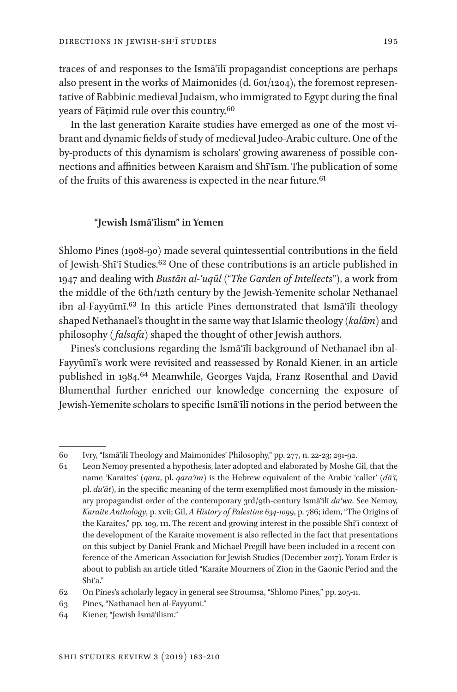traces of and responses to the Ismāʿīlī propagandist conceptions are perhaps also present in the works of Maimonides (d. 601/1204), the foremost representative of Rabbinic medieval Judaism, who immigrated to Egypt during the final years of Fātimid rule over this country.<sup>60</sup>

In the last generation Karaite studies have emerged as one of the most vibrant and dynamic fields of study of medieval Judeo-Arabic culture. One of the by-products of this dynamism is scholars' growing awareness of possible connections and affinities between Karaism and Shīʿīsm. The publication of some of the fruits of this awareness is expected in the near future.<sup>61</sup>

#### **"Jewish Ismāʿīlism" in Yemen**

Shlomo Pines (1908-90) made several quintessential contributions in the field of Jewish-Shīʿī Studies.62 One of these contributions is an article published in 1947 and dealing with *Bustān al-ʿuqūl* ("*The Garden of Intellects*"), a work from the middle of the 6th/12th century by the Jewish-Yemenite scholar Nethanael ibn al-Fayyūmī.63 In this article Pines demonstrated that Ismāʿīlī theology shaped Nethanael's thought in the same way that Islamic theology (*kalām*) and philosophy *( falsafa)* shaped the thought of other Jewish authors.

Pines's conclusions regarding the Ismāʿīlī background of Nethanael ibn al-Fayyūmī's work were revisited and reassessed by Ronald Kiener, in an article published in 1984.<sup>64</sup> Meanwhile, Georges Vajda, Franz Rosenthal and David Blumenthal further enriched our knowledge concerning the exposure of Jewish-Yemenite scholars to specific Ismāʿīlī notions in the period between the

<sup>60</sup> Ivry, "Ismā'īlī Theology and Maimonides' Philosophy," pp. 277, n. 22-23; 291-92.

<sup>61</sup> Leon Nemoy presented a hypothesis, later adopted and elaborated by Moshe Gil, that the name 'Karaites' (*qara*, pl. *qaraʾim*) is the Hebrew equivalent of the Arabic 'caller' (*dāʿī*, pl. *duʿāt*), in the specific meaning of the term exemplified most famously in the missionary propagandist order of the contemporary 3rd/9th-century Ismāʿīlī *daʿwa.* See Nemoy, *Karaite Anthology*, p. xvii; Gil, *A History of Palestine 634-1099*, p. 786; idem, "The Origins of the Karaites," pp. 109, 111. The recent and growing interest in the possible Shī<sup> $\tilde{t}$ </sup> context of the development of the Karaite movement is also reflected in the fact that presentations on this subject by Daniel Frank and Michael Pregill have been included in a recent conference of the American Association for Jewish Studies (December 2017). Yoram Erder is about to publish an article titled "Karaite Mourners of Zion in the Gaonic Period and the Shiʿa."

<sup>62</sup> On Pines's scholarly legacy in general see Stroumsa, "Shlomo Pines," pp. 205-11.

<sup>63</sup> Pines, "Nathanael ben al-Fayyumi."

<sup>64</sup> Kiener, "Jewish Ismā'ilism."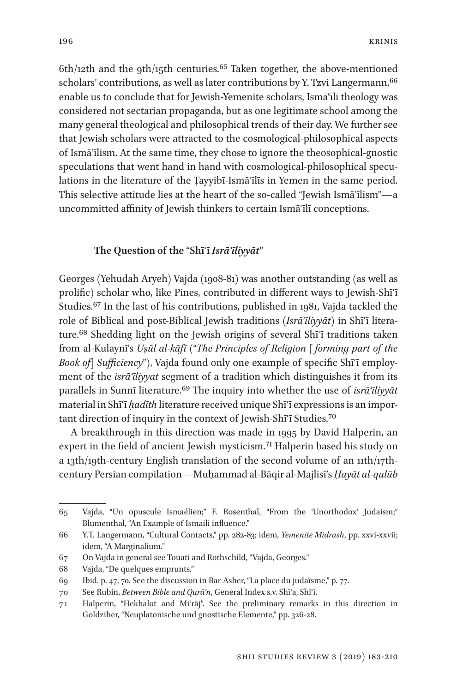6th/12th and the 9th/15th centuries.65 Taken together, the above-mentioned scholars' contributions, as well as later contributions by Y. Tzvi Langermann, 66 enable us to conclude that for Jewish-Yemenite scholars, Ismāʿīlī theology was considered not sectarian propaganda, but as one legitimate school among the many general theological and philosophical trends of their day. We further see that Jewish scholars were attracted to the cosmological-philosophical aspects of Ismāʿīlism. At the same time, they chose to ignore the theosophical-gnostic speculations that went hand in hand with cosmological-philosophical speculations in the literature of the Ṭayyibī-Ismāʿīlīs in Yemen in the same period. This selective attitude lies at the heart of the so-called "Jewish Ismāʿīlism"—a uncommitted affinity of Jewish thinkers to certain Ismāʿīlī conceptions.

### **The Question of the "Shīʿī** *Isrāʾīliyyāt***"**

Georges (Yehudah Aryeh) Vajda (1908-81) was another outstanding (as well as prolific) scholar who, like Pines, contributed in different ways to Jewish-Shīʿī Studies.67 In the last of his contributions, published in 1981, Vajda tackled the role of Biblical and post-Biblical Jewish traditions (*Isrāʾīliyyāt*) in Shīʿī literature.<sup>68</sup> Shedding light on the Jewish origins of several Shī<sup>t</sup>ī traditions taken from al-Kulaynī's *Uṣūl al-kāfī* ("*The Principles of Religion [ forming part of the Book of*] *Sufficiency*"), Vajda found only one example of specific Shīʿī employment of the *isrāʾīliyyat* segment of a tradition which distinguishes it from its parallels in Sunnī literature.69 The inquiry into whether the use of *isrāʾīliyyāt* material in Shīʿī *ḥadīth* literature received unique Shīʿī expressions is an important direction of inquiry in the context of Jewish-Shī'ī Studies.<sup>70</sup>

A breakthrough in this direction was made in 1995 by David Halperin, an expert in the field of ancient Jewish mysticism.71 Halperin based his study on a 13th/19th-century English translation of the second volume of an 11th/17thcentury Persian compilation—Muḥammad al-Bāqir al-Majlisī's *Ḥayāt al-qulūb*

<sup>65</sup> Vajda, "Un opuscule Ismaélien;" F. Rosenthal, "From the 'Unorthodox' Judaism;" Blumenthal, "An Example of Ismaili influence."

<sup>66</sup> Y.T. Langermann, "Cultural Contacts," pp. 282-83; idem, *Yemenite Midrash*, pp. xxvi-xxvii; idem, "A Marginalium."

<sup>67</sup> On Vajda in general see Touati and Rothschild, "Vajda, Georges."

<sup>68</sup> Vajda, "De quelques emprunts."

<sup>69</sup> Ibid. p. 47, 70. See the discussion in Bar-Asher, "La place du judaïsme," p. 77.

<sup>70</sup> See Rubin, *Between Bible and Qurāʾn*, General Index s.v. Shīʿa, Shīʿī.

<sup>71</sup> Halperin, "Hekhalot and Miʿrāj". See the preliminary remarks in this direction in Goldziher, "Neuplatonische und gnostische Elemente," pp. 326-28.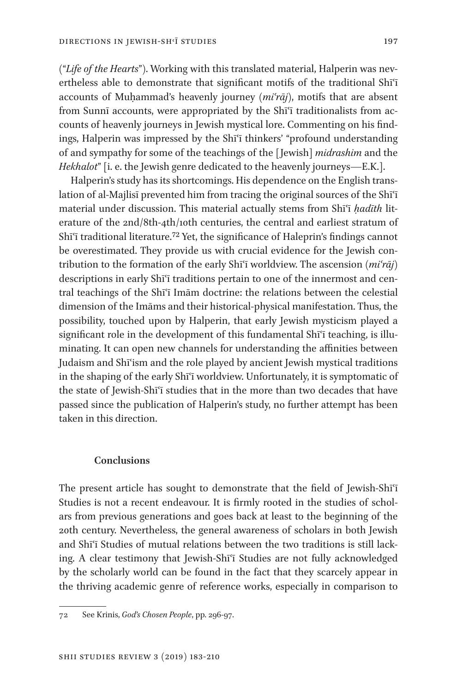("*Life of the Hearts*"). Working with this translated material, Halperin was nevertheless able to demonstrate that significant motifs of the traditional Shīʿī accounts of Muḥammad's heavenly journey (*miʿrāj*), motifs that are absent from Sunnī accounts, were appropriated by the Shīʿī traditionalists from accounts of heavenly journeys in Jewish mystical lore. Commenting on his findings, Halperin was impressed by the Shīʿī thinkers' "profound understanding of and sympathy for some of the teachings of the [Jewish] *midrashim* and the *Hekhalot*" [i. e. the Jewish genre dedicated to the heavenly journeys—E.K.].

Halperin's study has its shortcomings. His dependence on the English translation of al-Majlisī prevented him from tracing the original sources of the Shīʿī material under discussion. This material actually stems from Shīʿī *ḥadīth* literature of the 2nd/8th-4th/10th centuries, the central and earliest stratum of Shīʿī traditional literature.72 Yet, the significance of Haleprin's findings cannot be overestimated. They provide us with crucial evidence for the Jewish contribution to the formation of the early Shīʿī worldview. The ascension (*miʿrāj*) descriptions in early Shī'ī traditions pertain to one of the innermost and central teachings of the Shīʿī Imām doctrine: the relations between the celestial dimension of the Imāms and their historical-physical manifestation. Thus, the possibility, touched upon by Halperin, that early Jewish mysticism played a significant role in the development of this fundamental Shī'ī teaching, is illuminating. It can open new channels for understanding the affinities between Judaism and Shīʿism and the role played by ancient Jewish mystical traditions in the shaping of the early Shīʿī worldview. Unfortunately, it is symptomatic of the state of Jewish-Shīʿī studies that in the more than two decades that have passed since the publication of Halperin's study, no further attempt has been taken in this direction.

### **Conclusions**

The present article has sought to demonstrate that the field of Jewish-Shīʿī Studies is not a recent endeavour. It is firmly rooted in the studies of scholars from previous generations and goes back at least to the beginning of the 20th century. Nevertheless, the general awareness of scholars in both Jewish and Shīʿī Studies of mutual relations between the two traditions is still lacking. A clear testimony that Jewish-Shīʿī Studies are not fully acknowledged by the scholarly world can be found in the fact that they scarcely appear in the thriving academic genre of reference works, especially in comparison to

<sup>72</sup> See Krinis, *God's Chosen People*, pp. 296-97.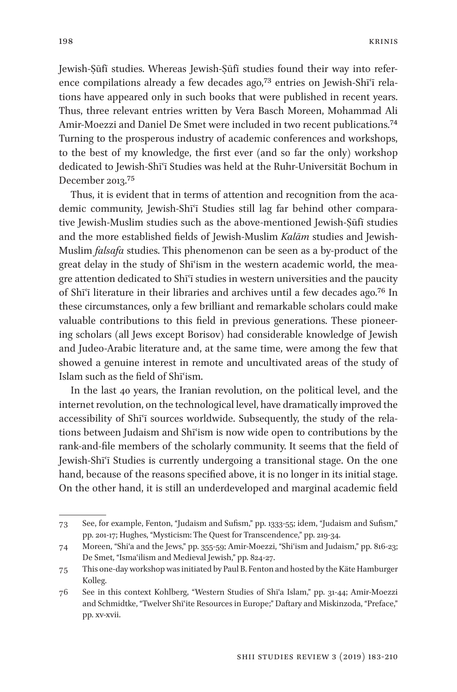Jewish-Ṣūfī studies. Whereas Jewish-Ṣūfī studies found their way into reference compilations already a few decades ago,<sup>73</sup> entries on Jewish-Shī'ī relations have appeared only in such books that were published in recent years. Thus, three relevant entries written by Vera Basch Moreen, Mohammad Ali Amir-Moezzi and Daniel De Smet were included in two recent publications.74 Turning to the prosperous industry of academic conferences and workshops, to the best of my knowledge, the first ever (and so far the only) workshop dedicated to Jewish-Shīʿī Studies was held at the Ruhr-Universität Bochum in December 2013.75

Thus, it is evident that in terms of attention and recognition from the academic community, Jewish-Shī'ī Studies still lag far behind other comparative Jewish-Muslim studies such as the above-mentioned Jewish-Ṣūfī studies and the more established fields of Jewish-Muslim *Kalām* studies and Jewish-Muslim *falsafa* studies. This phenomenon can be seen as a by-product of the great delay in the study of Shīʿism in the western academic world, the meagre attention dedicated to Shīʿī studies in western universities and the paucity of Shīʿī literature in their libraries and archives until a few decades ago.76 In these circumstances, only a few brilliant and remarkable scholars could make valuable contributions to this field in previous generations. These pioneering scholars (all Jews except Borisov) had considerable knowledge of Jewish and Judeo-Arabic literature and, at the same time, were among the few that showed a genuine interest in remote and uncultivated areas of the study of Islam such as the field of Shīʿism.

In the last 40 years, the Iranian revolution, on the political level, and the internet revolution, on the technological level, have dramatically improved the accessibility of Shīʿī sources worldwide. Subsequently, the study of the relations between Judaism and Shīʿism is now wide open to contributions by the rank-and-file members of the scholarly community. It seems that the field of Jewish-Shīʿī Studies is currently undergoing a transitional stage. On the one hand, because of the reasons specified above, it is no longer in its initial stage. On the other hand, it is still an underdeveloped and marginal academic field

<sup>73</sup> See, for example, Fenton, "Judaism and Sufism," pp. 1333-55; idem, "Judaism and Sufism," pp. 201-17; Hughes, "Mysticism: The Quest for Transcendence," pp. 219-34.

<sup>74</sup> Moreen, "Shiʿa and the Jews," pp. 355-59; Amir-Moezzi, "Shiʿism and Judaism," pp. 816-23; De Smet, "Ismaʿilism and Medieval Jewish," pp. 824-27.

<sup>75</sup> This one-day workshop was initiated by Paul B. Fenton and hosted by the Käte Hamburger Kolleg.

<sup>76</sup> See in this context Kohlberg, "Western Studies of Shīʿa Islam," pp. 31-44; Amir-Moezzi and Schmidtke, "Twelver Shīʿite Resources in Europe;" Daftary and Miskinzoda, "Preface," pp. xv-xvii.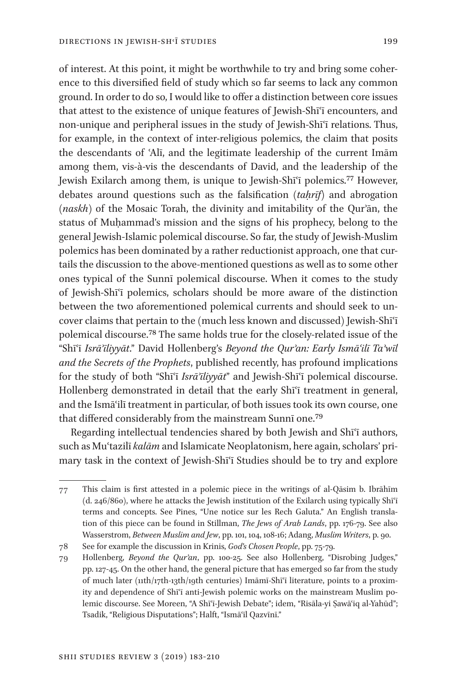of interest. At this point, it might be worthwhile to try and bring some coherence to this diversified field of study which so far seems to lack any common ground. In order to do so, I would like to offer a distinction between core issues that attest to the existence of unique features of Jewish-Shīʿī encounters, and non-unique and peripheral issues in the study of Jewish-Shīʿī relations. Thus, for example, in the context of inter-religious polemics, the claim that posits the descendants of ʿAlī, and the legitimate leadership of the current Imām among them, vis-à-vis the descendants of David, and the leadership of the Jewish Exilarch among them, is unique to Jewish-Shīʿī polemics.77 However, debates around questions such as the falsification (*taḥrīf*) and abrogation (*naskh*) of the Mosaic Torah, the divinity and imitability of the Qurʾān, the status of Muḥammad's mission and the signs of his prophecy, belong to the general Jewish-Islamic polemical discourse. So far, the study of Jewish-Muslim polemics has been dominated by a rather reductionist approach, one that curtails the discussion to the above-mentioned questions as well as to some other ones typical of the Sunnī polemical discourse. When it comes to the study of Jewish-Shīʿī polemics, scholars should be more aware of the distinction between the two aforementioned polemical currents and should seek to uncover claims that pertain to the (much less known and discussed) Jewish-Shīʿī polemical discourse.78 The same holds true for the closely-related issue of the "Shīʿī *Isrāʾīliyyāt*." David Hollenberg's *Beyond the Qurʾan: Early Ismāʿilī Taʾwīl and the Secrets of the Prophets*, published recently, has profound implications for the study of both "Shīʿī *Isrāʾīliyyāt*" and Jewish-Shīʿī polemical discourse. Hollenberg demonstrated in detail that the early Shī'ī treatment in general, and the Ismāʿilī treatment in particular, of both issues took its own course, one

Regarding intellectual tendencies shared by both Jewish and Shī'ī authors, such as Muʿtazilī *kalām* and Islamicate Neoplatonism, here again, scholars' primary task in the context of Jewish-Shīʿī Studies should be to try and explore

that differed considerably from the mainstream Sunnī one.79

<sup>77</sup> This claim is first attested in a polemic piece in the writings of al-Qāsim b. Ibrāhīm (d. 246/860), where he attacks the Jewish institution of the Exilarch using typically  $\text{Shi}^{\text{T}}$ terms and concepts. See Pines, "Une notice sur les Rech Galuta." An English translation of this piece can be found in Stillman, *The Jews of Arab Lands*, pp. 176-79. See also Wasserstrom, *Between Muslim and Jew*, pp. 101, 104, 108-16; Adang, *Muslim Writers*, p. 90.

<sup>78</sup> See for example the discussion in Krinis, *God's Chosen People*, pp. 75-79.

<sup>79</sup> Hollenberg, *Beyond the Qurʾan*, pp. 100-25. See also Hollenberg, "Disrobing Judges," pp. 127-45. On the other hand, the general picture that has emerged so far from the study of much later (11th/17th-13th/19th centuries) Imāmī-Shīʿī literature, points to a proximity and dependence of Shī'ī anti-Jewish polemic works on the mainstream Muslim polemic discourse. See Moreen, "A Shīʿī-Jewish Debate"; idem, "Risāla-yi Ṣawāʿiq al-Yahūd"; Tsadik, "Religious Disputations"; Halft, "Ismāʿīl Qazvīnī."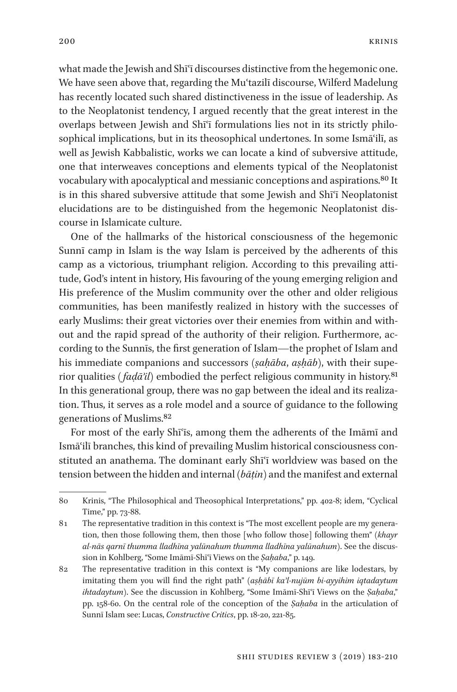what made the Jewish and Shī<sup> $\tau$ </sup> discourses distinctive from the hegemonic one. We have seen above that, regarding the Mu'tazilī discourse, Wilferd Madelung has recently located such shared distinctiveness in the issue of leadership. As to the Neoplatonist tendency, I argued recently that the great interest in the overlaps between Jewish and Shīʿī formulations lies not in its strictly philosophical implications, but in its theosophical undertones. In some Ismāʿilī, as well as Jewish Kabbalistic, works we can locate a kind of subversive attitude, one that interweaves conceptions and elements typical of the Neoplatonist vocabulary with apocalyptical and messianic conceptions and aspirations.80 It is in this shared subversive attitude that some Jewish and Shīʿī Neoplatonist elucidations are to be distinguished from the hegemonic Neoplatonist discourse in Islamicate culture.

One of the hallmarks of the historical consciousness of the hegemonic Sunnī camp in Islam is the way Islam is perceived by the adherents of this camp as a victorious, triumphant religion. According to this prevailing attitude, God's intent in history, His favouring of the young emerging religion and His preference of the Muslim community over the other and older religious communities, has been manifestly realized in history with the successes of early Muslims: their great victories over their enemies from within and without and the rapid spread of the authority of their religion. Furthermore, according to the Sunnīs, the first generation of Islam—the prophet of Islam and his immediate companions and successors *(sahāba, ashāb*), with their superior qualities *( faḍāʾil)* embodied the perfect religious community in history.81 In this generational group, there was no gap between the ideal and its realization. Thus, it serves as a role model and a source of guidance to the following generations of Muslims.82

For most of the early Shīʿīs, among them the adherents of the Imāmī and Ismāʿilī branches, this kind of prevailing Muslim historical consciousness constituted an anathema. The dominant early Shīʿī worldview was based on the tension between the hidden and internal (*bāṭin*) and the manifest and external

<sup>80</sup> Krinis, "The Philosophical and Theosophical Interpretations," pp. 402-8; idem, "Cyclical Time," pp. 73-88.

<sup>81</sup> The representative tradition in this context is "The most excellent people are my generation, then those following them, then those [who follow those] following them" (*khayr al-nās qarnī thumma lladhīna yalūnahum thumma lladhīna yalūnahum*). See the discussion in Kohlberg, "Some Imāmī-Shīʿī Views on the *Ṣaḥaba*," p. 149.

<sup>82</sup> The representative tradition in this context is "My companions are like lodestars, by imitating them you will find the right path" (*aṣḥābī kaʾl-nujūm bi-ayyihim iqtadaytum ihtadaytum*). See the discussion in Kohlberg, "Some Imāmī-Shīʿī Views on the *Ṣaḥaba*," pp. 158-60. On the central role of the conception of the *Ṣaḥaba* in the articulation of Sunnī Islam see: Lucas, *Constructive Critics*, pp. 18-20, 221-85.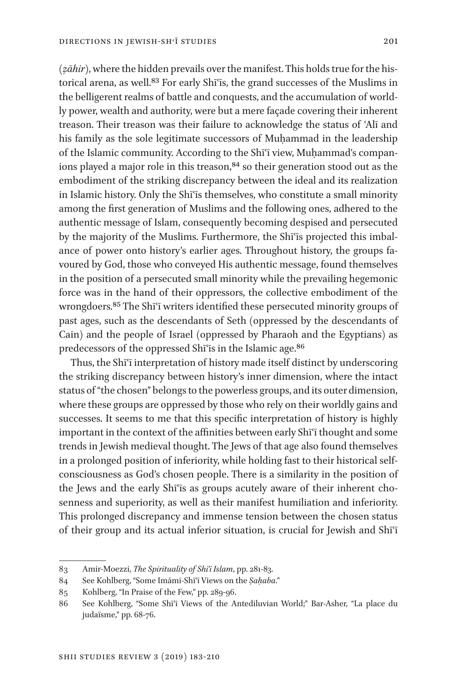(*ẓāhir*), where the hidden prevails over the manifest. This holds true for the historical arena, as well.83 For early Shīʿīs, the grand successes of the Muslims in the belligerent realms of battle and conquests, and the accumulation of worldly power, wealth and authority, were but a mere façade covering their inherent treason. Their treason was their failure to acknowledge the status of ʿAlī and his family as the sole legitimate successors of Muḥammad in the leadership of the Islamic community. According to the Shī'ī view, Muhammad's companions played a major role in this treason,<sup>84</sup> so their generation stood out as the embodiment of the striking discrepancy between the ideal and its realization in Islamic history. Only the Shīʿīs themselves, who constitute a small minority among the first generation of Muslims and the following ones, adhered to the authentic message of Islam, consequently becoming despised and persecuted by the majority of the Muslims. Furthermore, the Shīʿīs projected this imbalance of power onto history's earlier ages. Throughout history, the groups favoured by God, those who conveyed His authentic message, found themselves in the position of a persecuted small minority while the prevailing hegemonic force was in the hand of their oppressors, the collective embodiment of the wrongdoers.85 The Shīʿī writers identified these persecuted minority groups of past ages, such as the descendants of Seth (oppressed by the descendants of Cain) and the people of Israel (oppressed by Pharaoh and the Egyptians) as predecessors of the oppressed Shīʿīs in the Islamic age.86

Thus, the Shīʿī interpretation of history made itself distinct by underscoring the striking discrepancy between history's inner dimension, where the intact status of "the chosen" belongs to the powerless groups, and its outer dimension, where these groups are oppressed by those who rely on their worldly gains and successes. It seems to me that this specific interpretation of history is highly important in the context of the affinities between early Shī'ī thought and some trends in Jewish medieval thought. The Jews of that age also found themselves in a prolonged position of inferiority, while holding fast to their historical selfconsciousness as God's chosen people. There is a similarity in the position of the Jews and the early Shīʿīs as groups acutely aware of their inherent chosenness and superiority, as well as their manifest humiliation and inferiority. This prolonged discrepancy and immense tension between the chosen status of their group and its actual inferior situation, is crucial for Jewish and Shīʿī

<sup>83</sup> Amir-Moezzi, *The Spirituality of Shi'i Islam*, pp. 281-83.

<sup>84</sup> See Kohlberg, "Some Imāmī-Shīʿī Views on the *Ṣaḥaba*."

<sup>85</sup> Kohlberg, "In Praise of the Few," pp. 289-96.

<sup>86</sup> See Kohlberg, "Some Shīʿī Views of the Antediluvian World;" Bar-Asher, "La place du judaïsme," pp. 68-76.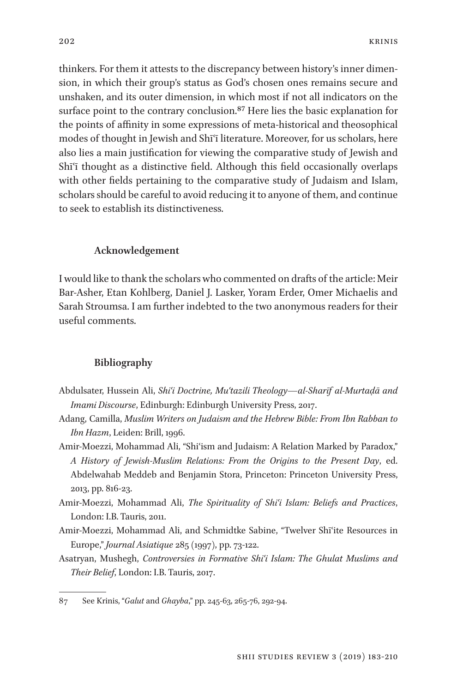thinkers. For them it attests to the discrepancy between history's inner dimension, in which their group's status as God's chosen ones remains secure and unshaken, and its outer dimension, in which most if not all indicators on the surface point to the contrary conclusion.<sup>87</sup> Here lies the basic explanation for the points of affinity in some expressions of meta-historical and theosophical modes of thought in Jewish and Shīʿī literature. Moreover, for us scholars, here also lies a main justification for viewing the comparative study of Jewish and Shīʿī thought as a distinctive field. Although this field occasionally overlaps with other fields pertaining to the comparative study of Judaism and Islam, scholars should be careful to avoid reducing it to anyone of them, and continue to seek to establish its distinctiveness.

#### **Acknowledgement**

I would like to thank the scholars who commented on drafts of the article: Meir Bar-Asher, Etan Kohlberg, Daniel J. Lasker, Yoram Erder, Omer Michaelis and Sarah Stroumsa. I am further indebted to the two anonymous readers for their useful comments.

### **Bibliography**

- Abdulsater, Hussein Ali, *Shiʿi Doctrine, Muʿtazili Theology—al-Sharīf al-Murtaḍā and Imami Discourse*, Edinburgh: Edinburgh University Press, 2017.
- Adang, Camilla, *Muslim Writers on Judaism and the Hebrew Bible: From Ibn Rabban to Ibn Hazm*, Leiden: Brill, 1996.
- Amir-Moezzi, Mohammad Ali, "Shi'ism and Judaism: A Relation Marked by Paradox," *A History of Jewish-Muslim Relations: From the Origins to the Present Day*, ed. Abdelwahab Meddeb and Benjamin Stora, Princeton: Princeton University Press, 2013, pp. 816-23.
- Amir-Moezzi, Mohammad Ali, *The Spirituality of Shiʿi Islam: Beliefs and Practices*, London: I.B. Tauris, 2011.
- Amir-Moezzi, Mohammad Ali, and Schmidtke Sabine, "Twelver Shīʿite Resources in Europe," *Journal Asiatique* 285 (1997), pp. 73-122.
- Asatryan, Mushegh, *Controversies in Formative Shiʿi Islam: The Ghulat Muslims and Their Belief*, London: I.B. Tauris, 2017.

<sup>87</sup> See Krinis, "*Galut* and *Ghayba*," pp. 245-63, 265-76, 292-94.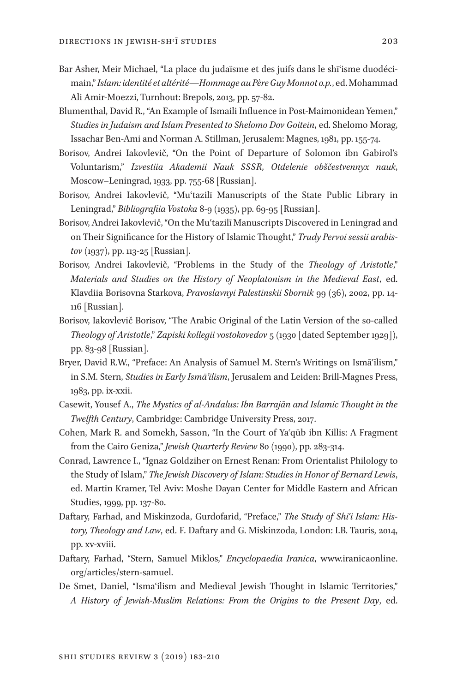- Bar Asher, Meir Michael, "La place du judaïsme et des juifs dans le shīʿisme duodécimain," *Islam: identité et altérité—Hommage au Père Guy Monnot o.p.*, ed. Mohammad Ali Amir-Moezzi, Turnhout: Brepols, 2013, pp. 57-82.
- Blumenthal, David R., "An Example of Ismaili Influence in Post-Maimonidean Yemen," *Studies in Judaism and Islam Presented to Shelomo Dov Goitein*, ed. Shelomo Morag, Issachar Ben-Ami and Norman A. Stillman, Jerusalem: Magnes, 1981, pp. 155-74.
- Borisov, Andrei Iakovlevič, "On the Point of Departure of Solomon ibn Gabirol's Voluntarism," *Izvestiia Akademii Nauk SSSR, Otdelenie obščestvennyx nauk*, Moscow–Leningrad, 1933, pp. 755-68 [Russian].
- Borisov, Andrei Iakovlevič, "Muʿtazilī Manuscripts of the State Public Library in Leningrad," *Bibliografiia Vostoka* 8-9 (1935), pp. 69-95 [Russian].
- Borisov, Andrei Iakovlevič, "On the Muʿtazilī Manuscripts Discovered in Leningrad and on Their Significance for the History of Islamic Thought," *Trudy Pervoi sessii arabistov* (1937), pp. 113-25 [Russian].
- Borisov, Andrei Iakovlevič, "Problems in the Study of the *Theology of Aristotle*," *Materials and Studies on the History of Neoplatonism in the Medieval East*, ed. Klavdiia Borisovna Starkova, *Pravoslavnyi Palestinskii Sbornik* 99 (36), 2002, pp. 14- 116 [Russian].
- Borisov, Iakovlevič Borisov, "The Arabic Original of the Latin Version of the so-called *Theology of Aristotle*," *Zapiski kollegii vostokovedov* 5 (1930 [dated September 1929]), pp. 83-98 [Russian].
- Bryer, David R.W., "Preface: An Analysis of Samuel M. Stern's Writings on Ismāʿīlism," in S.M. Stern, *Studies in Early Ismāʿīlism*, Jerusalem and Leiden: Brill-Magnes Press, 1983, pp. ix-xxii.
- Casewit, Yousef A., *The Mystics of al-Andalus: Ibn Barrajān and Islamic Thought in the Twelfth Century*, Cambridge: Cambridge University Press, 2017.
- Cohen, Mark R. and Somekh, Sasson, "In the Court of Yaʿqūb ibn Killis: A Fragment from the Cairo Geniza," *Jewish Quarterly Review* 80 (1990), pp. 283-314.
- Conrad, Lawrence I., "Ignaz Goldziher on Ernest Renan: From Orientalist Philology to the Study of Islam," *The Jewish Discovery of Islam: Studies in Honor of Bernard Lewis*, ed. Martin Kramer, Tel Aviv: Moshe Dayan Center for Middle Eastern and African Studies, 1999, pp. 137-80.
- Daftary, Farhad, and Miskinzoda, Gurdofarid, "Preface," *The Study of Shiʿi Islam: History, Theology and Law*, ed. F. Daftary and G. Miskinzoda, London: I.B. Tauris, 2014, pp. xv-xviii.
- Daftary, Farhad, "Stern, Samuel Miklos," *Encyclopaedia Iranica*, www.iranicaonline. org/articles/stern-samuel.
- De Smet, Daniel, "Ismaʿilism and Medieval Jewish Thought in Islamic Territories," *A History of Jewish-Muslim Relations: From the Origins to the Present Day*, ed.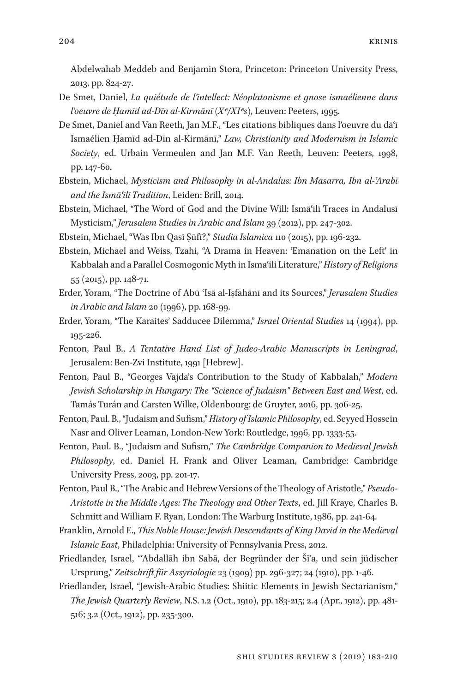Abdelwahab Meddeb and Benjamin Stora, Princeton: Princeton University Press, 2013, pp. 824-27.

- De Smet, Daniel, *La quiétude de l'intellect: Néoplatonisme et gnose ismaélienne dans l'oeuvre de Ḥamīd ad-Dīn al-Kirmānī (Xe/XIes)*, Leuven: Peeters, 1995.
- De Smet, Daniel and Van Reeth, Jan M.F., "Les citations bibliques dans l'oeuvre du dāʿī Ismaélien Ḥamīd ad-Dīn al-Kirmānī," *Law, Christianity and Modernism in Islamic Society*, ed. Urbain Vermeulen and Jan M.F. Van Reeth, Leuven: Peeters, 1998, pp. 147-60.
- Ebstein, Michael, *Mysticism and Philosophy in al-Andalus: Ibn Masarra, Ibn al-'Arabī and the Ismāʿīlī Tradition*, Leiden: Brill, 2014.
- Ebstein, Michael, "The Word of God and the Divine Will: Ismāʿīlī Traces in Andalusī Mysticism," *Jerusalem Studies in Arabic and Islam* 39 (2012), pp. 247-302.
- Ebstein, Michael, "Was Ibn Qasī Ṣūfī?," *Studia Islamica* 110 (2015), pp. 196-232.
- Ebstein, Michael and Weiss, Tzahi, "A Drama in Heaven: 'Emanation on the Left' in Kabbalah and a Parallel Cosmogonic Myth in Ismaʿili Literature," *History of Religions* 55 (2015), pp. 148-71.
- Erder, Yoram, "The Doctrine of Abū ʿIsā al-Iṣfahānī and its Sources," *Jerusalem Studies in Arabic and Islam* 20 (1996), pp. 168-99.
- Erder, Yoram, "The Karaites' Sadducee Dilemma," *Israel Oriental Studies* 14 (1994), pp. 195-226.
- Fenton, Paul B., *A Tentative Hand List of Judeo-Arabic Manuscripts in Leningrad*, Jerusalem: Ben-Zvi Institute, 1991 [Hebrew].
- Fenton, Paul B., "Georges Vajda's Contribution to the Study of Kabbalah," *Modern Jewish Scholarship in Hungary: The "Science of Judaism" Between East and West*, ed. Tamás Turán and Carsten Wilke, Oldenbourg: de Gruyter, 2016, pp. 306-25.
- Fenton, Paul. B., "Judaism and Sufism," *History of Islamic Philosophy*, ed. Seyyed Hossein Nasr and Oliver Leaman, London-New York: Routledge, 1996, pp. 1333-55.
- Fenton, Paul. B., "Judaism and Sufism," *The Cambridge Companion to Medieval Jewish Philosophy*, ed. Daniel H. Frank and Oliver Leaman, Cambridge: Cambridge University Press, 2003, pp. 201-17.
- Fenton, Paul B., "The Arabic and Hebrew Versions of the Theology of Aristotle," *Pseudo-Aristotle in the Middle Ages: The Theology and Other Texts*, ed. Jill Kraye, Charles B. Schmitt and William F. Ryan, London: The Warburg Institute, 1986, pp. 241-64.
- Franklin, Arnold E., *This Noble House: Jewish Descendants of King David in the Medieval Islamic East*, Philadelphia: University of Pennsylvania Press, 2012.
- Friedlander, Israel, "ʿAbdallāh ibn Sabā, der Begründer der Šīʿa, und sein jüdischer Ursprung," *Zeitschrift für Assyriologie* 23 (1909) pp. 296-327; 24 (1910), pp. 1-46.
- Friedlander, Israel, "Jewish-Arabic Studies: Shiitic Elements in Jewish Sectarianism," *The Jewish Quarterly Review*, N.S. 1.2 (Oct., 1910), pp. 183-215; 2.4 (Apr., 1912), pp. 481- 516; 3.2 (Oct., 1912), pp. 235-300.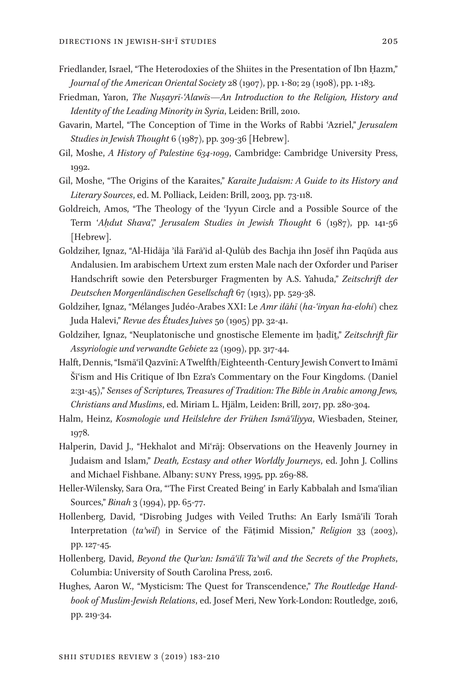- Friedlander, Israel, "The Heterodoxies of the Shiites in the Presentation of Ibn Ḥazm," *Journal of the American Oriental Society* 28 (1907), pp. 1-80; 29 (1908), pp. 1-183.
- Friedman, Yaron, *The Nuṣayrī-ʿAlawīs—An Introduction to the Religion, History and Identity of the Leading Minority in Syria*, Leiden: Brill, 2010.
- Gavarin, Martel, "The Conception of Time in the Works of Rabbi ʿAzriel," *Jerusalem Studies in Jewish Thought* 6 (1987), pp. 309-36 [Hebrew].
- Gil, Moshe, *A History of Palestine 634-1099*, Cambridge: Cambridge University Press, 1992.
- Gil, Moshe, "The Origins of the Karaites," *Karaite Judaism: A Guide to its History and Literary Sources*, ed. M. Polliack, Leiden: Brill, 2003, pp. 73-118.
- Goldreich, Amos, "The Theology of the ʿIyyun Circle and a Possible Source of the Term '*Aḥdut Shava*'," *Jerusalem Studies in Jewish Thought* 6 (1987), pp. 141-56 [Hebrew].
- Goldziher, Ignaz, "Al-Hidāja ʾilā Farāʾid al-Qulūb des Bachja ihn Josēf ihn Paqūda aus Andalusien. Im arabischem Urtext zum ersten Male nach der Oxforder und Pariser Handschrift sowie den Petersburger Fragmenten by A.S. Yahuda," *Zeitschrift der Deutschen Morgenländischen Gesellschaft* 67 (1913), pp. 529-38.
- Goldziher, Ignaz, "Mélanges Judéo-Arabes XXI: Le *Amr ilāhī* (*ha-ʿinyan ha-elohi*) chez Juda Halevi," *Revue des Études Juives* 50 (1905) pp. 32-41.
- Goldziher, Ignaz, "Neuplatonische und gnostische Elemente im ḥadīṯ," *Zeitschrift für Assyriologie und verwandte Gebiete* 22 (1909), pp. 317-44.
- Halft, Dennis, "Ismāʿīl Qazvīnī: A Twelfth/Eighteenth-Century Jewish Convert to Imāmī Šīʿism and His Critique of Ibn Ezra's Commentary on the Four Kingdoms. (Daniel 2:31-45)," *Senses of Scriptures, Treasures of Tradition: The Bible in Arabic among Jews, Christians and Muslims*, ed. Miriam L. Hjälm, Leiden: Brill, 2017, pp. 280-304.
- Halm, Heinz, *Kosmologie und Heilslehre der Frühen Ismāʿīliyya*, Wiesbaden, Steiner, 1978.
- Halperin, David J., "Hekhalot and Miʿrāj: Observations on the Heavenly Journey in Judaism and Islam," *Death, Ecstasy and other Worldly Journeys*, ed. John J. Collins and Michael Fishbane. Albany: SUNY Press, 1995, pp. 269-88.
- Heller-Wilensky, Sara Ora, "'The First Created Being' in Early Kabbalah and Ismaʿīlian Sources," *Binah* 3 (1994), pp. 65-77.
- Hollenberg, David, "Disrobing Judges with Veiled Truths: An Early Ismāʿīlī Torah Interpretation (*taʾwīl*) in Service of the Fāṭimid Mission," *Religion* 33 (2003), pp. 127-45.
- Hollenberg, David, *Beyond the Qurʾan: Ismāʿilī Taʾwīl and the Secrets of the Prophets*, Columbia: University of South Carolina Press, 2016.
- Hughes, Aaron W., "Mysticism: The Quest for Transcendence," *The Routledge Handbook of Muslim-Jewish Relations*, ed. Josef Meri, New York-London: Routledge, 2016, pp. 219-34.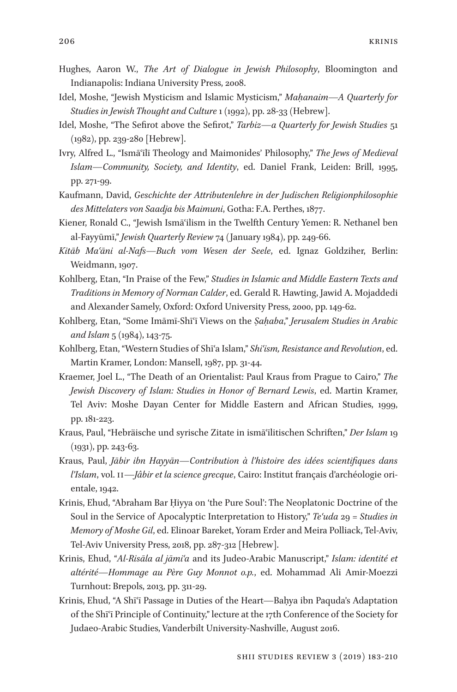- Hughes, Aaron W., *The Art of Dialogue in Jewish Philosophy*, Bloomington and Indianapolis: Indiana University Press, 2008.
- Idel, Moshe, "Jewish Mysticism and Islamic Mysticism," *Maḥanaim—A Quarterly for Studies in Jewish Thought and Culture* 1 (1992), pp. 28-33 (Hebrew].
- Idel, Moshe, "The Sefirot above the Sefirot," *Tarbiz—a Quarterly for Jewish Studies* 51 (1982), pp. 239-280 [Hebrew].
- Ivry, Alfred L., "Ismāʿīlī Theology and Maimonides' Philosophy," *The Jews of Medieval Islam—Community, Society, and Identity*, ed. Daniel Frank, Leiden: Brill, 1995, pp. 271-99.
- Kaufmann, David, *Geschichte der Attributenlehre in der Judischen Religionphilosophie des Mittelaters von Saadja bis Maimuni*, Gotha: F.A. Perthes, 1877.
- Kiener, Ronald C., "Jewish Ismāʿilism in the Twelfth Century Yemen: R. Nethanel ben al-Fayyūmī," *Jewish Quarterly Review* 74 (January 1984), pp. 249-66.
- *Kitāb Maʿāni al-Nafs—Buch vom Wesen der Seele*, ed. Ignaz Goldziher, Berlin: Weidmann, 1907.
- Kohlberg, Etan, "In Praise of the Few," *Studies in Islamic and Middle Eastern Texts and Traditions in Memory of Norman Calder*, ed. Gerald R. Hawting, Jawid A. Mojaddedi and Alexander Samely, Oxford: Oxford University Press, 2000, pp. 149-62.
- Kohlberg, Etan, "Some Imāmī-Shīʿī Views on the *Ṣaḥaba*," *Jerusalem Studies in Arabic and Islam* 5 (1984), 143-75.
- Kohlberg, Etan, "Western Studies of Shīʿa Islam," *Shiʿism, Resistance and Revolution*, ed. Martin Kramer, London: Mansell, 1987, pp. 31-44.
- Kraemer, Joel L., "The Death of an Orientalist: Paul Kraus from Prague to Cairo," *The Jewish Discovery of Islam: Studies in Honor of Bernard Lewis*, ed. Martin Kramer, Tel Aviv: Moshe Dayan Center for Middle Eastern and African Studies, 1999, pp. 181-223.
- Kraus, Paul, "Hebräische und syrische Zitate in ismāʿīlitischen Schriften," *Der Islam* 19 (1931), pp. 243-63.
- Kraus, Paul, *Jābir ibn Hayyān—Contribution à l'histoire des idées scientifiques dans l'Islam*, vol. II—*Jâbir et la science grecque*, Cairo: Institut français d'archéologie orientale, 1942.
- Krinis, Ehud, "Abraham Bar Ḥiyya on 'the Pure Soul': The Neoplatonic Doctrine of the Soul in the Service of Apocalyptic Interpretation to History," *Teʿuda* 29 = *Studies in Memory of Moshe Gil*, ed. Elinoar Bareket, Yoram Erder and Meira Polliack, Tel-Aviv, Tel-Aviv University Press, 2018, pp. 287-312 [Hebrew].
- Krinis, Ehud, "*Al-Risāla al jāmiʿa* and its Judeo-Arabic Manuscript," *Islam: identité et altérité—Hommage au Père Guy Monnot o.p.*, ed. Mohammad Ali Amir-Moezzi Turnhout: Brepols, 2013, pp. 311-29.
- Krinis, Ehud, "A Shīʿī Passage in Duties of the Heart—Baḥya ibn Paquda's Adaptation of the Shīʿī Principle of Continuity," lecture at the 17th Conference of the Society for Judaeo-Arabic Studies, Vanderbilt University-Nashville, August 2016.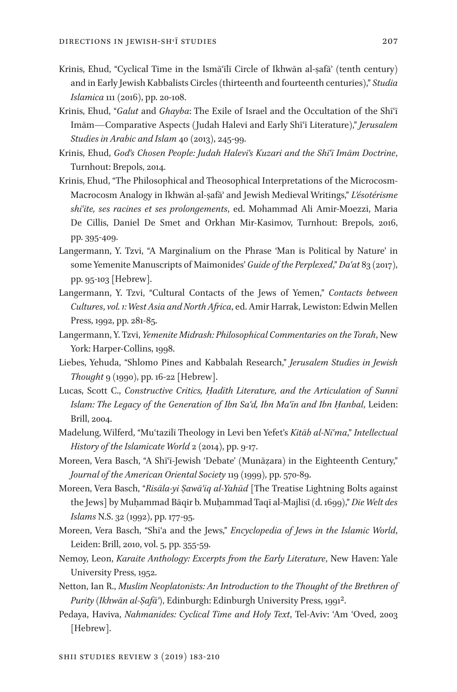- Krinis, Ehud, "Cyclical Time in the Ismāʿīlī Circle of Ikhwān al-ṣafāʾ (tenth century) and in Early Jewish Kabbalists Circles (thirteenth and fourteenth centuries)," *Studia Islamica* 111 (2016), pp. 20-108.
- Krinis, Ehud, "*Galut* and *Ghayba*: The Exile of Israel and the Occultation of the Shi<sup>{</sup><sub>1</sub> Imām—Comparative Aspects (Judah Halevi and Early Shīʿī Literature)," *Jerusalem Studies in Arabic and Islam* 40 (2013), 245-99.
- Krinis, Ehud, *God's Chosen People: Judah Halevi's Kuzari and the Shīʿī Imām Doctrine*, Turnhout: Brepols, 2014.
- Krinis, Ehud, "The Philosophical and Theosophical Interpretations of the Microcosm-Macrocosm Analogy in Ikhwān al-ṣafāʾ and Jewish Medieval Writings," *L'ésotérisme shiʿite, ses racines et ses prolongements*, ed. Mohammad Ali Amir-Moezzi, Maria De Cillis, Daniel De Smet and Orkhan Mir-Kasimov, Turnhout: Brepols, 2016, pp. 395-409.
- Langermann, Y. Tzvi, "A Marginalium on the Phrase 'Man is Political by Nature' in some Yemenite Manuscripts of Maimonides' *Guide of the Perplexed*," *Daʿat* 83 (2017), pp. 95-103 [Hebrew].
- Langermann, Y. Tzvi, "Cultural Contacts of the Jews of Yemen," *Contacts between Cultures*, *vol. 1: West Asia and North Africa*, ed. Amir Harrak, Lewiston: Edwin Mellen Press, 1992, pp. 281-85.
- Langermann, Y. Tzvi, *Yemenite Midrash: Philosophical Commentaries on the Torah*, New York: Harper-Collins, 1998.
- Liebes, Yehuda, "Shlomo Pines and Kabbalah Research," *Jerusalem Studies in Jewish Thought* 9 (1990), pp. 16-22 [Hebrew].
- Lucas, Scott C., *Constructive Critics, Ḥadīth Literature, and the Articulation of Sunnī Islam: The Legacy of the Generation of Ibn Saʿd, Ibn Maʿīn and Ibn Ḥanbal*, Leiden: Brill, 2004.
- Madelung, Wilferd, "Muʿtazilī Theology in Levi ben Yefet's *Kitāb al-Niʿma*," *Intellectual History of the Islamicate World* 2 (2014), pp. 9-17.
- Moreen, Vera Basch, "A Shīʿī-Jewish 'Debate' (Munāẓara) in the Eighteenth Century," *Journal of the American Oriental Society* 119 (1999), pp. 570-89.
- Moreen, Vera Basch, "*Risāla-yi Ṣawāʿiq al-Yahūd* [The Treatise Lightning Bolts against the Jews] by Muḥammad Bāqir b. Muḥammad Taqī al-Majlisī (d. 1699)," *Die Welt des Islams* N.S. 32 (1992), pp. 177-95.
- Moreen, Vera Basch, "Shiʿa and the Jews," *Encyclopedia of Jews in the Islamic World*, Leiden: Brill, 2010, vol. 5, pp. 355-59.
- Nemoy, Leon, *Karaite Anthology: Excerpts from the Early Literature*, New Haven: Yale University Press, 1952.
- Netton, Ian R., *Muslim Neoplatonists: An Introduction to the Thought of the Brethren of Purity (Ikhwān al-Ṣafāʾ)*, Edinburgh: Edinburgh University Press, 19912.
- Pedaya, Haviva, *Nahmanides: Cyclical Time and Holy Text*, Tel-Aviv: ʿAm ʿOved, 2003 [Hebrew].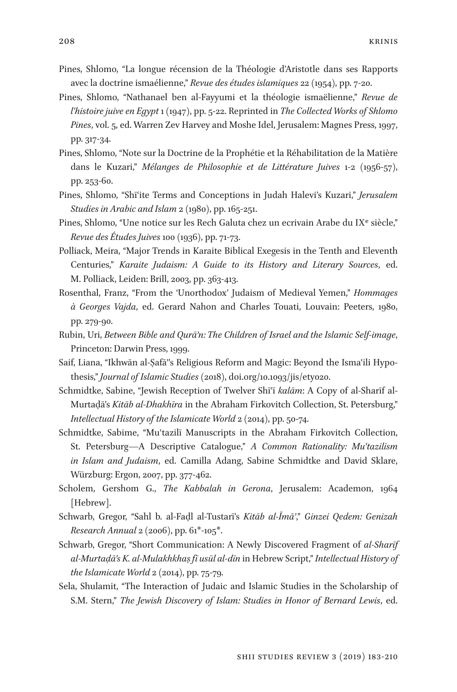- Pines, Shlomo, "La longue récension de la Théologie d'Aristotle dans ses Rapports avec la doctrine ismaélienne," *Revue des études islamiques* 22 (1954), pp. 7-20.
- Pines, Shlomo, "Nathanael ben al-Fayyumi et la théologie ismaëlienne," *Revue de l'histoire juive en Egypt* 1 (1947), pp. 5-22. Reprinted in *The Collected Works of Shlomo Pines*, vol. 5, ed. Warren Zev Harvey and Moshe Idel, Jerusalem: Magnes Press, 1997, pp. 317-34.
- Pines, Shlomo, "Note sur la Doctrine de la Prophétie et la Réhabilitation de la Matière dans le Kuzari," *Mélanges de Philosophie et de Littérature Juives* 1-2 (1956-57), pp. 253-60.
- Pines, Shlomo, "Shīʿite Terms and Conceptions in Judah Halevi's Kuzari," *Jerusalem Studies in Arabic and Islam* 2 (1980), pp. 165-251.
- Pines, Shlomo, "Une notice sur les Rech Galuta chez un ecrivain Arabe du IX<sup>e</sup> siècle," *Revue des Études Juives* 100 (1936), pp. 71-73.
- Polliack, Meira, "Major Trends in Karaite Biblical Exegesis in the Tenth and Eleventh Centuries," *Karaite Judaism: A Guide to its History and Literary Sources*, ed. M. Polliack, Leiden: Brill, 2003, pp. 363-413.
- Rosenthal, Franz, "From the 'Unorthodox' Judaism of Medieval Yemen," *Hommages à Georges Vajda*, ed. Gerard Nahon and Charles Touati, Louvain: Peeters, 1980, pp. 279-90.
- Rubin, Uri, *Between Bible and Qurāʾn: The Children of Israel and the Islamic Self-image*, Princeton: Darwin Press, 1999.
- Saif, Liana, "Ikhwān al-Ṣafāʾ's Religious Reform and Magic: Beyond the Ismaʿili Hypothesis," *Journal of Islamic Studies* (2018), doi.org/10.1093/jis/ety020.
- Schmidtke, Sabine, "Jewish Reception of Twelver Shīʿī *kalām*: A Copy of al-Sharīf al-Murtaḍā's *Kitāb al-Dhakhīra* in the Abraham Firkovitch Collection, St. Petersburg," *Intellectual History of the Islamicate World* 2 (2014), pp. 50-74.
- Schmidtke, Sabime, "Muʿtazilī Manuscripts in the Abraham Firkovitch Collection, St. Petersburg—A Descriptive Catalogue," *A Common Rationality: Muʿtazilism in Islam and Judaism*, ed. Camilla Adang, Sabine Schmidtke and David Sklare, Würzburg: Ergon, 2007, pp. 377-462.
- Scholem, Gershom G., *The Kabbalah in Gerona*, Jerusalem: Academon, 1964 [Hebrew].
- Schwarb, Gregor, "Sahl b. al-Faḍl al-Tustarī's *Kitāb al-Īmāʾ*," *Ginzei Qedem: Genizah Research Annual* 2 (2006), pp. 61\*-105\*.
- Schwarb, Gregor, "Short Communication: A Newly Discovered Fragment of *al-Sharīf al-Murtaḍā's K. al-Mulakhkhaṣ fī usūl al-dīn* in Hebrew Script," *Intellectual History of the Islamicate World* 2 (2014), pp. 75-79.
- Sela, Shulamit, "The Interaction of Judaic and Islamic Studies in the Scholarship of S.M. Stern," *The Jewish Discovery of Islam: Studies in Honor of Bernard Lewis*, ed.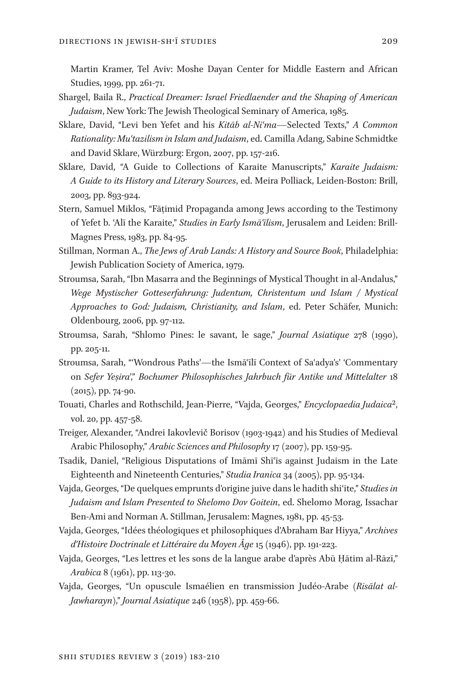Martin Kramer, Tel Aviv: Moshe Dayan Center for Middle Eastern and African Studies, 1999, pp. 261-71.

- Shargel, Baila R., *Practical Dreamer: Israel Friedlaender and the Shaping of American Judaism*, New York: The Jewish Theological Seminary of America, 1985.
- Sklare, David, "Levi ben Yefet and his *Kitāb al-Niʿma*—Selected Texts," *A Common Rationality: Muʿtazilism in Islam and Judaism*, ed. Camilla Adang, Sabine Schmidtke and David Sklare, Würzburg: Ergon, 2007, pp. 157-216.
- Sklare, David, "A Guide to Collections of Karaite Manuscripts," *Karaite Judaism: A Guide to its History and Literary Sources*, ed. Meira Polliack, Leiden-Boston: Brill, 2003, pp. 893-924.
- Stern, Samuel Miklos, "Fāṭimid Propaganda among Jews according to the Testimony of Yefet b. ʿAlī the Karaite," *Studies in Early Ismāʿīlism*, Jerusalem and Leiden: Brill-Magnes Press, 1983, pp. 84-95.
- Stillman, Norman A., *The Jews of Arab Lands: A History and Source Book*, Philadelphia: Jewish Publication Society of America, 1979.
- Stroumsa, Sarah, "Ibn Masarra and the Beginnings of Mystical Thought in al-Andalus," *Wege Mystischer Gotteserfahrung: Judentum, Christentum und Islam / Mystical Approaches to God: Judaism, Christianity, and Islam*, ed. Peter Schäfer, Munich: Oldenbourg, 2006, pp. 97-112.
- Stroumsa, Sarah, "Shlomo Pines: le savant, le sage," *Journal Asiatique* 278 (1990), pp. 205-11.
- Stroumsa, Sarah, "'Wondrous Paths'—the Ismāʿīlī Context of Saʿadya's' 'Commentary on *Sefer Yeṣira*'," *Bochumer Philosophisches Jahrbuch für Antike und Mittelalter* 18  $(2015)$ , pp. 74-90.
- Touati, Charles and Rothschild, Jean-Pierre, "Vajda, Georges," *Encyclopaedia Judaica*2, vol. 20, pp. 457-58.
- Treiger, Alexander, "Andrei Iakovlevič Borisov (1903-1942) and his Studies of Medieval Arabic Philosophy," *Arabic Sciences and Philosophy* 17 (2007), pp. 159-95.
- Tsadik, Daniel, "Religious Disputations of Imāmī Shīʿīs against Judaism in the Late Eighteenth and Nineteenth Centuries," *Studia Iranica* 34 (2005), pp. 95-134.
- Vajda, Georges, "De quelques emprunts d'origine juive dans le hadith shiʿite," *Studies in Judaism and Islam Presented to Shelomo Dov Goitein*, ed. Shelomo Morag, Issachar Ben-Ami and Norman A. Stillman, Jerusalem: Magnes, 1981, pp. 45-53.
- Vajda, Georges, "Idées théologiques et philosophiques d'Abraham Bar Hiyya," *Archives d'Histoire Doctrinale et Littéraire du Moyen Âge* 15 (1946), pp. 191-223.
- Vajda, Georges, "Les lettres et les sons de la langue arabe d'après Abū Ḥātim al-Rāzī," *Arabica* 8 (1961), pp. 113-30.
- Vajda, Georges, "Un opuscule Ismaélien en transmission Judéo-Arabe (*Risālat al-Jawharayn*)," *Journal Asiatique* 246 (1958), pp. 459-66.